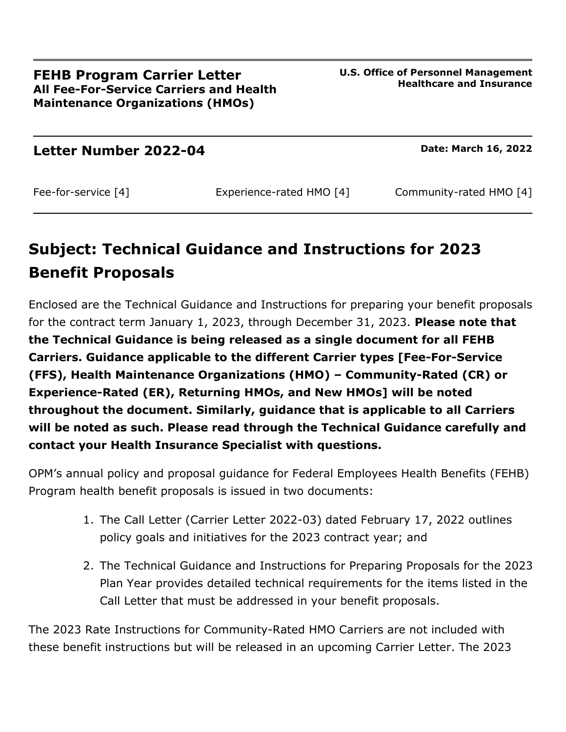**Letter Number 2022-04 Date: March 16, 2022** 

Fee-for-service [4] Experience-rated HMO [4] Community-rated HMO [4]

# **Subject: Technical Guidance and Instructions for 2023 Benefit Proposals**

Enclosed are the Technical Guidance and Instructions for preparing your benefit proposals for the contract term January 1, 2023, through December 31, 2023. **Please note that the Technical Guidance is being released as a single document for all FEHB Carriers. Guidance applicable to the different Carrier types [Fee-For-Service (FFS), Health Maintenance Organizations (HMO) – Community-Rated (CR) or Experience-Rated (ER), Returning HMOs, and New HMOs] will be noted throughout the document. Similarly, guidance that is applicable to all Carriers will be noted as such. Please read through the Technical Guidance carefully and contact your Health Insurance Specialist with questions.**

OPM's annual policy and proposal guidance for Federal Employees Health Benefits (FEHB) Program health benefit proposals is issued in two documents:

- 1. The Call Letter (Carrier Letter 2022-03) dated February 17, 2022 outlines policy goals and initiatives for the 2023 contract year; and
- 2. The Technical Guidance and Instructions for Preparing Proposals for the 2023 Plan Year provides detailed technical requirements for the items listed in the Call Letter that must be addressed in your benefit proposals.

The 2023 Rate Instructions for Community-Rated HMO Carriers are not included with these benefit instructions but will be released in an upcoming Carrier Letter. The 2023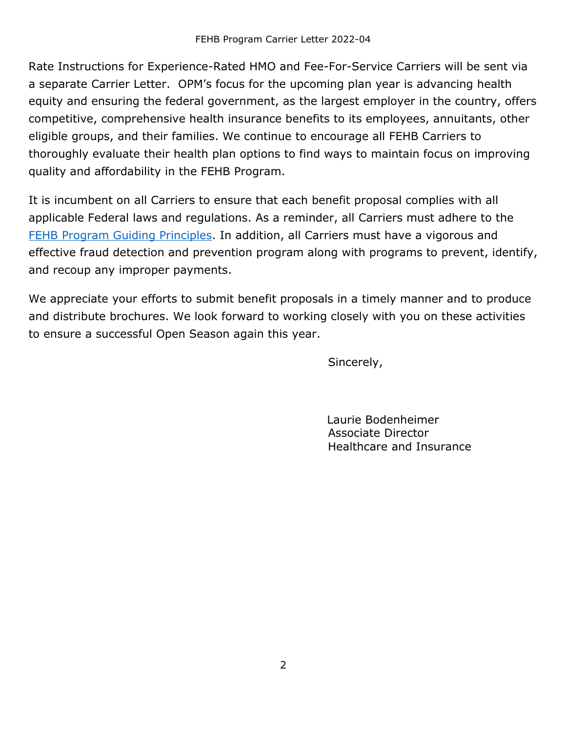Rate Instructions for Experience-Rated HMO and Fee-For-Service Carriers will be sent via a separate Carrier Letter. OPM's focus for the upcoming plan year is advancing health equity and ensuring the federal government, as the largest employer in the country, offers competitive, comprehensive health insurance benefits to its employees, annuitants, other eligible groups, and their families. We continue to encourage all FEHB Carriers to thoroughly evaluate their health plan options to find ways to maintain focus on improving quality and affordability in the FEHB Program.

It is incumbent on all Carriers to ensure that each benefit proposal complies with all applicable Federal laws and regulations. As a reminder, all Carriers must adhere to the FEHB Program [Guiding Principles.](https://www.opm.gov/healthcare-insurance/healthcare/carriers/reference/principles/) In addition, all Carriers must have a vigorous and effective fraud detection and prevention program along with programs to prevent, identify, and recoup any improper payments.

We appreciate your efforts to submit benefit proposals in a timely manner and to produce and distribute brochures. We look forward to working closely with you on these activities to ensure a successful Open Season again this year.

Sincerely,

Laurie Bodenheimer Associate Director Healthcare and Insurance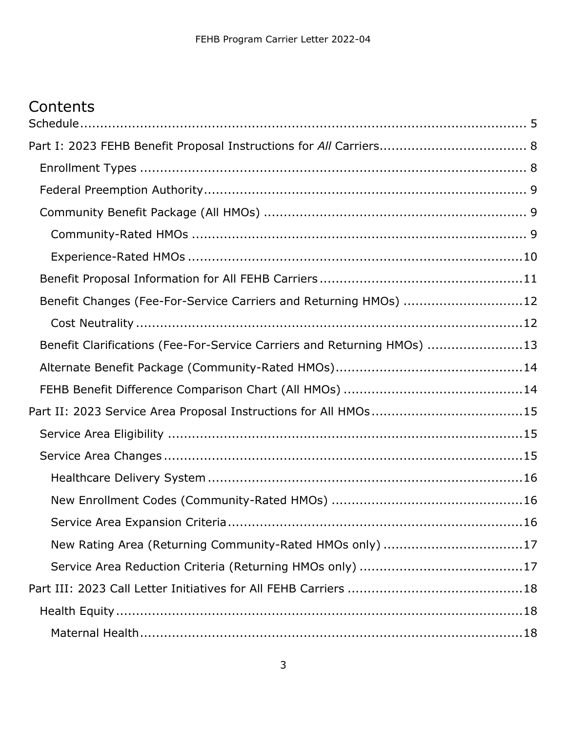# **Contents**

| Benefit Changes (Fee-For-Service Carriers and Returning HMOs) 12        |  |
|-------------------------------------------------------------------------|--|
|                                                                         |  |
| Benefit Clarifications (Fee-For-Service Carriers and Returning HMOs) 13 |  |
|                                                                         |  |
|                                                                         |  |
| Part II: 2023 Service Area Proposal Instructions for All HMOs15         |  |
|                                                                         |  |
|                                                                         |  |
|                                                                         |  |
|                                                                         |  |
|                                                                         |  |
| New Rating Area (Returning Community-Rated HMOs only) 17                |  |
|                                                                         |  |
|                                                                         |  |
|                                                                         |  |
|                                                                         |  |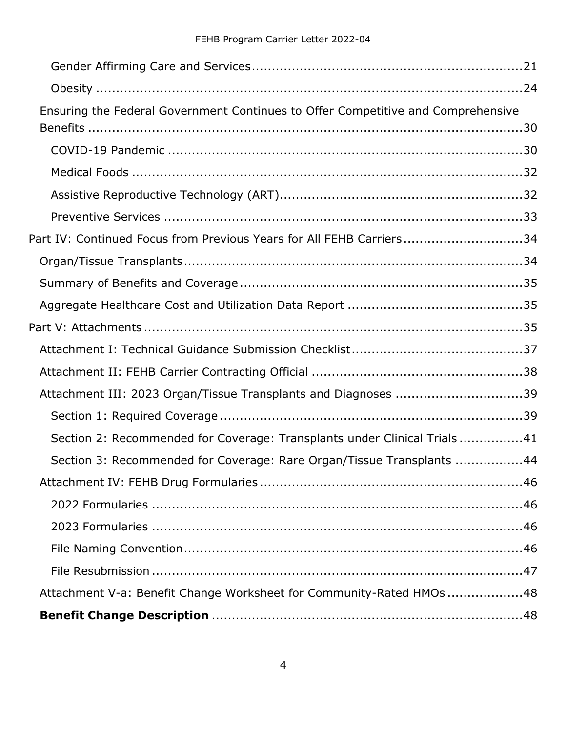| Ensuring the Federal Government Continues to Offer Competitive and Comprehensive |  |
|----------------------------------------------------------------------------------|--|
|                                                                                  |  |
|                                                                                  |  |
|                                                                                  |  |
|                                                                                  |  |
|                                                                                  |  |
| Part IV: Continued Focus from Previous Years for All FEHB Carriers34             |  |
|                                                                                  |  |
|                                                                                  |  |
|                                                                                  |  |
|                                                                                  |  |
|                                                                                  |  |
|                                                                                  |  |
| Attachment III: 2023 Organ/Tissue Transplants and Diagnoses 39                   |  |
|                                                                                  |  |
| Section 2: Recommended for Coverage: Transplants under Clinical Trials41         |  |
| Section 3: Recommended for Coverage: Rare Organ/Tissue Transplants 44            |  |
|                                                                                  |  |
|                                                                                  |  |
|                                                                                  |  |
|                                                                                  |  |
|                                                                                  |  |
| Attachment V-a: Benefit Change Worksheet for Community-Rated HMOs 48             |  |
|                                                                                  |  |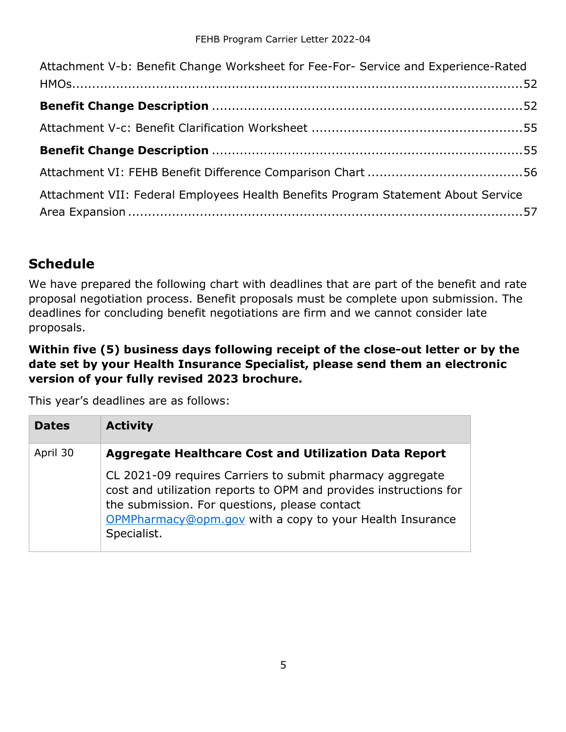| Attachment V-b: Benefit Change Worksheet for Fee-For- Service and Experience-Rated |  |
|------------------------------------------------------------------------------------|--|
|                                                                                    |  |
|                                                                                    |  |
|                                                                                    |  |
|                                                                                    |  |
|                                                                                    |  |
| Attachment VII: Federal Employees Health Benefits Program Statement About Service  |  |
|                                                                                    |  |

## <span id="page-4-0"></span>**Schedule**

We have prepared the following chart with deadlines that are part of the benefit and rate proposal negotiation process. Benefit proposals must be complete upon submission. The deadlines for concluding benefit negotiations are firm and we cannot consider late proposals.

#### **Within five (5) business days following receipt of the close-out letter or by the date set by your Health Insurance Specialist, please send them an electronic version of your fully revised 2023 brochure.**

This year's deadlines are as follows:

| <b>Dates</b> | <b>Activity</b>                                                                                                                                                                                                                                            |
|--------------|------------------------------------------------------------------------------------------------------------------------------------------------------------------------------------------------------------------------------------------------------------|
| April 30     | Aggregate Healthcare Cost and Utilization Data Report                                                                                                                                                                                                      |
|              | CL 2021-09 requires Carriers to submit pharmacy aggregate<br>cost and utilization reports to OPM and provides instructions for<br>the submission. For questions, please contact<br>OPMPharmacy@opm.gov with a copy to your Health Insurance<br>Specialist. |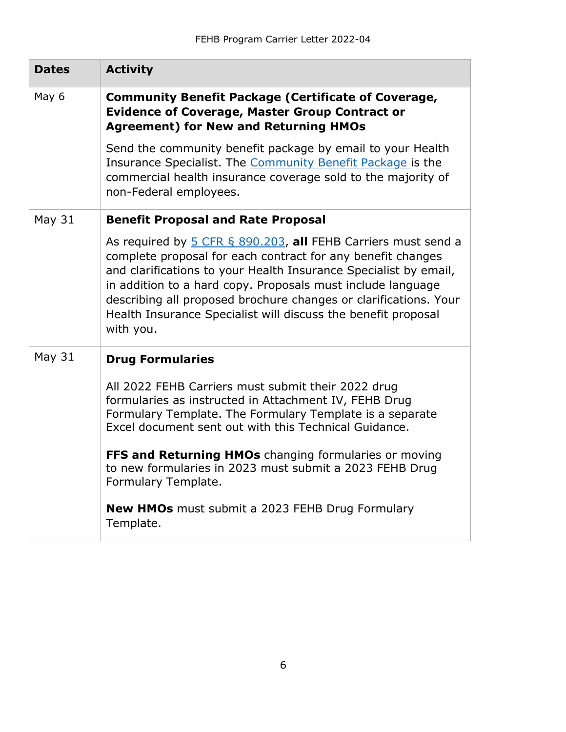| <b>Dates</b>  | <b>Activity</b>                                                                                                                                                                                                                                                                                                                                                                                                   |
|---------------|-------------------------------------------------------------------------------------------------------------------------------------------------------------------------------------------------------------------------------------------------------------------------------------------------------------------------------------------------------------------------------------------------------------------|
| May 6         | <b>Community Benefit Package (Certificate of Coverage,</b><br><b>Evidence of Coverage, Master Group Contract or</b><br><b>Agreement) for New and Returning HMOs</b>                                                                                                                                                                                                                                               |
|               | Send the community benefit package by email to your Health<br>Insurance Specialist. The Community Benefit Package is the<br>commercial health insurance coverage sold to the majority of<br>non-Federal employees.                                                                                                                                                                                                |
| May $31$      | <b>Benefit Proposal and Rate Proposal</b>                                                                                                                                                                                                                                                                                                                                                                         |
|               | As required by 5 CFR § 890.203, all FEHB Carriers must send a<br>complete proposal for each contract for any benefit changes<br>and clarifications to your Health Insurance Specialist by email,<br>in addition to a hard copy. Proposals must include language<br>describing all proposed brochure changes or clarifications. Your<br>Health Insurance Specialist will discuss the benefit proposal<br>with you. |
| <b>May 31</b> | <b>Drug Formularies</b>                                                                                                                                                                                                                                                                                                                                                                                           |
|               | All 2022 FEHB Carriers must submit their 2022 drug<br>formularies as instructed in Attachment IV, FEHB Drug<br>Formulary Template. The Formulary Template is a separate<br>Excel document sent out with this Technical Guidance.                                                                                                                                                                                  |
|               | FFS and Returning HMOs changing formularies or moving<br>to new formularies in 2023 must submit a 2023 FEHB Drug<br>Formulary Template.                                                                                                                                                                                                                                                                           |
|               | <b>New HMOs</b> must submit a 2023 FEHB Drug Formulary<br>Template.                                                                                                                                                                                                                                                                                                                                               |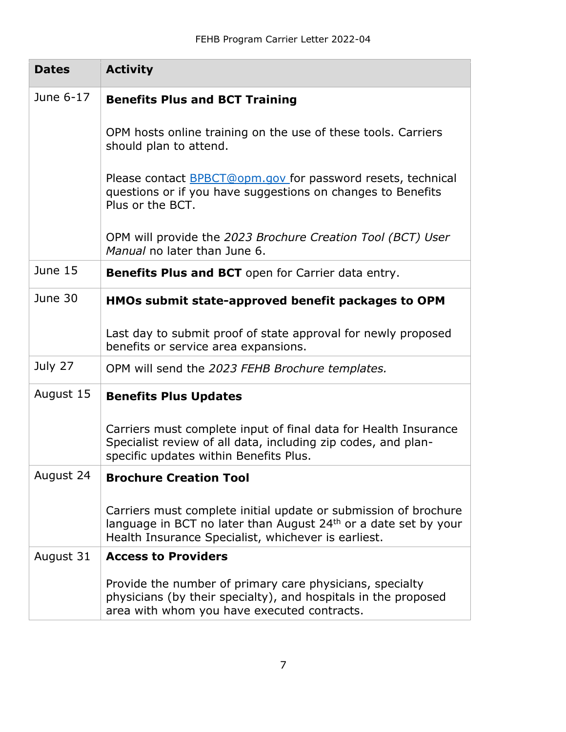| <b>Dates</b> | <b>Activity</b>                                                                                                                                                                                       |
|--------------|-------------------------------------------------------------------------------------------------------------------------------------------------------------------------------------------------------|
| June 6-17    | <b>Benefits Plus and BCT Training</b>                                                                                                                                                                 |
|              | OPM hosts online training on the use of these tools. Carriers<br>should plan to attend.                                                                                                               |
|              | Please contact BPBCT@opm.gov for password resets, technical<br>questions or if you have suggestions on changes to Benefits<br>Plus or the BCT.                                                        |
|              | OPM will provide the 2023 Brochure Creation Tool (BCT) User<br>Manual no later than June 6.                                                                                                           |
| June 15      | <b>Benefits Plus and BCT</b> open for Carrier data entry.                                                                                                                                             |
| June 30      | HMOs submit state-approved benefit packages to OPM                                                                                                                                                    |
|              | Last day to submit proof of state approval for newly proposed<br>benefits or service area expansions.                                                                                                 |
| July 27      | OPM will send the 2023 FEHB Brochure templates.                                                                                                                                                       |
| August 15    | <b>Benefits Plus Updates</b>                                                                                                                                                                          |
|              | Carriers must complete input of final data for Health Insurance<br>Specialist review of all data, including zip codes, and plan-<br>specific updates within Benefits Plus.                            |
| August 24    | <b>Brochure Creation Tool</b>                                                                                                                                                                         |
|              | Carriers must complete initial update or submission of brochure<br>language in BCT no later than August 24 <sup>th</sup> or a date set by your<br>Health Insurance Specialist, whichever is earliest. |
| August 31    | <b>Access to Providers</b>                                                                                                                                                                            |
|              | Provide the number of primary care physicians, specialty<br>physicians (by their specialty), and hospitals in the proposed<br>area with whom you have executed contracts.                             |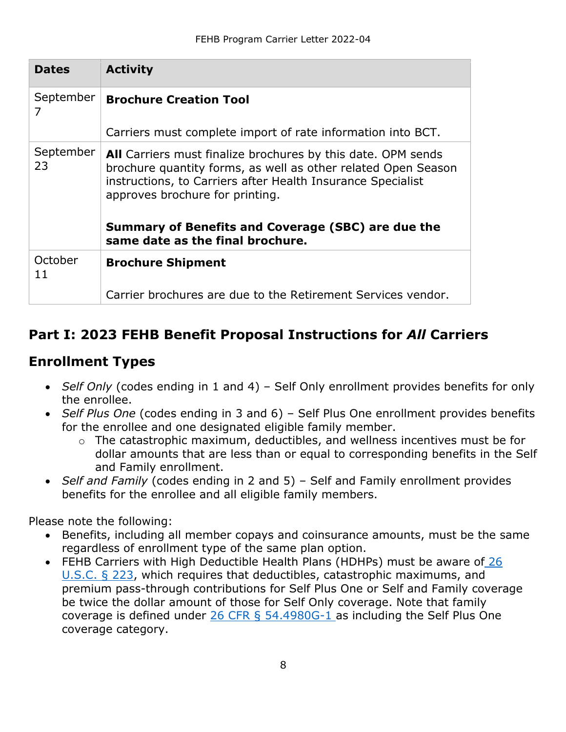| <b>Dates</b>    | <b>Activity</b>                                                                                                                                                                                                                                                                                                                  |
|-----------------|----------------------------------------------------------------------------------------------------------------------------------------------------------------------------------------------------------------------------------------------------------------------------------------------------------------------------------|
| September       | <b>Brochure Creation Tool</b>                                                                                                                                                                                                                                                                                                    |
|                 | Carriers must complete import of rate information into BCT.                                                                                                                                                                                                                                                                      |
| September<br>23 | <b>All</b> Carriers must finalize brochures by this date. OPM sends<br>brochure quantity forms, as well as other related Open Season<br>instructions, to Carriers after Health Insurance Specialist<br>approves brochure for printing.<br>Summary of Benefits and Coverage (SBC) are due the<br>same date as the final brochure. |
|                 |                                                                                                                                                                                                                                                                                                                                  |
| October<br>11   | <b>Brochure Shipment</b>                                                                                                                                                                                                                                                                                                         |
|                 | Carrier brochures are due to the Retirement Services vendor.                                                                                                                                                                                                                                                                     |

# <span id="page-7-0"></span>**Part I: 2023 FEHB Benefit Proposal Instructions for** *All* **Carriers**

### <span id="page-7-1"></span>**Enrollment Types**

- *Self Only* (codes ending in 1 and 4) Self Only enrollment provides benefits for only the enrollee.
- *Self Plus One* (codes ending in 3 and 6) Self Plus One enrollment provides benefits for the enrollee and one designated eligible family member.
	- o The catastrophic maximum, deductibles, and wellness incentives must be for dollar amounts that are less than or equal to corresponding benefits in the Self and Family enrollment.
- *Self and Family* (codes ending in 2 and 5) Self and Family enrollment provides benefits for the enrollee and all eligible family members.

Please note the following:

- Benefits, including all member copays and coinsurance amounts, must be the same regardless of enrollment type of the same plan option.
- FEHB Carriers with High Deductible Health Plans (HDHPs) must be aware of 26 [U.S.C. § 223,](https://www.govinfo.gov/content/pkg/USCODE-2017-title26/pdf/USCODE-2017-title26-subtitleA-chap1-subchapB-partVII-sec223.pdf) which requires that deductibles, catastrophic maximums, and premium pass-through contributions for Self Plus One or Self and Family coverage be twice the dollar amount of those for Self Only coverage. Note that family coverage is defined under [26 CFR § 54.4980G-1 a](https://www.ecfr.gov/cgi-bin/retrieveECFR?gp=1&SID=d649cf083305b0d77341f99aba3a121f&ty=HTML&h=L&mc=true&r=SECTION&n=se26.19.54_14980g_61)s including the Self Plus One coverage category.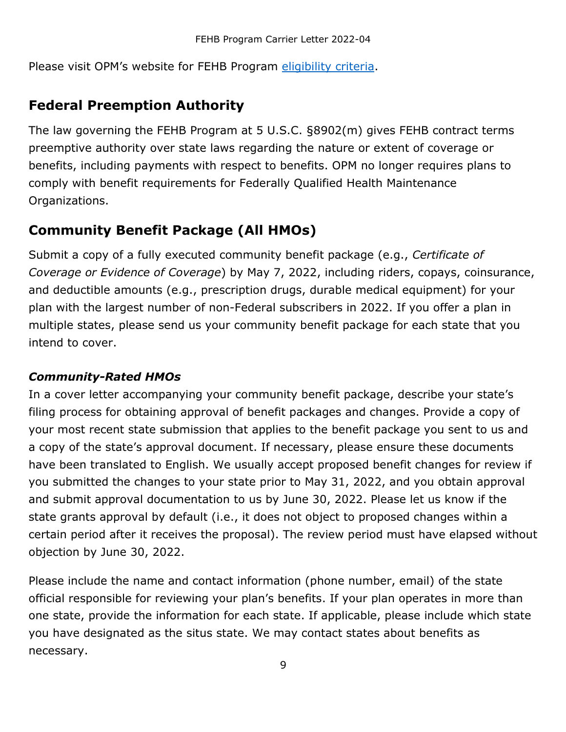Please visit OPM's website for FEHB Program [eligibility criteria.](https://www.opm.gov/healthcare-insurance/healthcare/eligibility/)

### <span id="page-8-0"></span>**Federal Preemption Authority**

The law governing the FEHB Program at 5 U.S.C. §8902(m) gives FEHB contract terms preemptive authority over state laws regarding the nature or extent of coverage or benefits, including payments with respect to benefits. OPM no longer requires plans to comply with benefit requirements for Federally Qualified Health Maintenance Organizations.

## <span id="page-8-1"></span>**Community Benefit Package (All HMOs)**

Submit a copy of a fully executed community benefit package (e.g., *Certificate of Coverage or Evidence of Coverage*) by May 7, 2022, including riders, copays, coinsurance, and deductible amounts (e.g., prescription drugs, durable medical equipment) for your plan with the largest number of non-Federal subscribers in 2022. If you offer a plan in multiple states, please send us your community benefit package for each state that you intend to cover.

### <span id="page-8-2"></span>*Community-Rated HMOs*

In a cover letter accompanying your community benefit package, describe your state's filing process for obtaining approval of benefit packages and changes. Provide a copy of your most recent state submission that applies to the benefit package you sent to us and a copy of the state's approval document. If necessary, please ensure these documents have been translated to English. We usually accept proposed benefit changes for review if you submitted the changes to your state prior to May 31, 2022, and you obtain approval and submit approval documentation to us by June 30, 2022. Please let us know if the state grants approval by default (i.e., it does not object to proposed changes within a certain period after it receives the proposal). The review period must have elapsed without objection by June 30, 2022.

Please include the name and contact information (phone number, email) of the state official responsible for reviewing your plan's benefits. If your plan operates in more than one state, provide the information for each state. If applicable, please include which state you have designated as the situs state. We may contact states about benefits as necessary.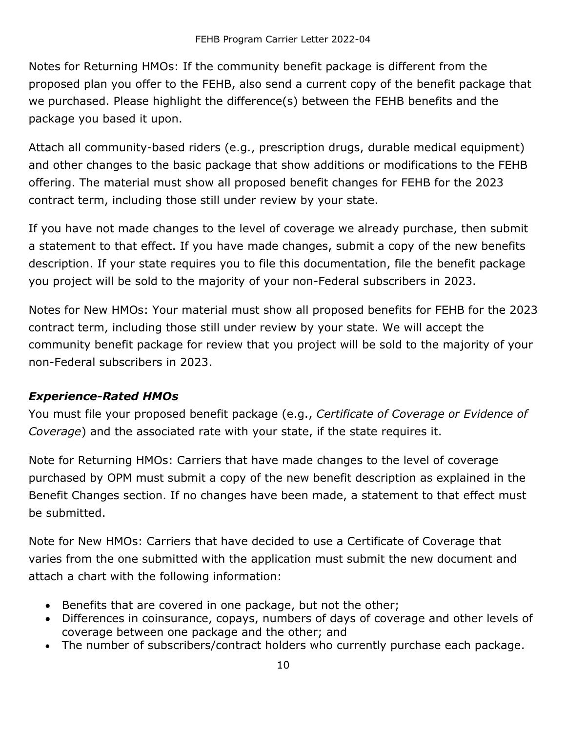Notes for Returning HMOs: If the community benefit package is different from the proposed plan you offer to the FEHB, also send a current copy of the benefit package that we purchased. Please highlight the difference(s) between the FEHB benefits and the package you based it upon.

Attach all community-based riders (e.g., prescription drugs, durable medical equipment) and other changes to the basic package that show additions or modifications to the FEHB offering. The material must show all proposed benefit changes for FEHB for the 2023 contract term, including those still under review by your state.

If you have not made changes to the level of coverage we already purchase, then submit a statement to that effect. If you have made changes, submit a copy of the new benefits description. If your state requires you to file this documentation, file the benefit package you project will be sold to the majority of your non-Federal subscribers in 2023.

Notes for New HMOs: Your material must show all proposed benefits for FEHB for the 2023 contract term, including those still under review by your state. We will accept the community benefit package for review that you project will be sold to the majority of your non-Federal subscribers in 2023.

### <span id="page-9-0"></span>*Experience-Rated HMOs*

You must file your proposed benefit package (e.g., *Certificate of Coverage or Evidence of Coverage*) and the associated rate with your state, if the state requires it.

Note for Returning HMOs: Carriers that have made changes to the level of coverage purchased by OPM must submit a copy of the new benefit description as explained in the Benefit Changes section. If no changes have been made, a statement to that effect must be submitted.

Note for New HMOs: Carriers that have decided to use a Certificate of Coverage that varies from the one submitted with the application must submit the new document and attach a chart with the following information:

- Benefits that are covered in one package, but not the other;
- Differences in coinsurance, copays, numbers of days of coverage and other levels of coverage between one package and the other; and
- The number of subscribers/contract holders who currently purchase each package.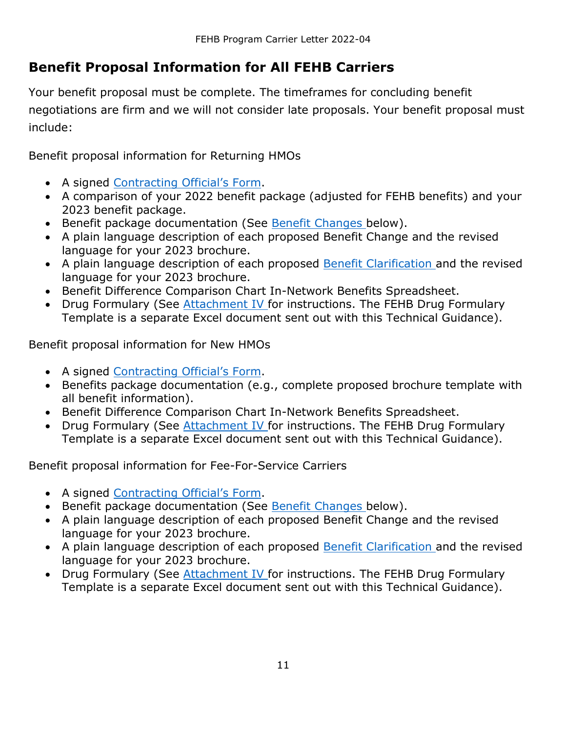# <span id="page-10-0"></span>**Benefit Proposal Information for All FEHB Carriers**

Your benefit proposal must be complete. The timeframes for concluding benefit negotiations are firm and we will not consider late proposals. Your benefit proposal must include:

Benefit proposal information for Returning HMOs

- A signed [Contracting Official's Form.](#page-37-0)
- A comparison of your 2022 benefit package (adjusted for FEHB benefits) and your 2023 benefit package.
- Benefit package documentation (See [Benefit Changes b](#page-11-0)elow).
- A plain language description of each proposed Benefit Change and the revised language for your 2023 brochure.
- A plain language description of each proposed **Benefit Clarification** and the revised language for your 2023 brochure.
- Benefit Difference Comparison Chart In-Network Benefits Spreadsheet.
- Drug Formulary (See [Attachment IV f](#page-45-0)or instructions. The FEHB Drug Formulary Template is a separate Excel document sent out with this Technical Guidance).

Benefit proposal information for New HMOs

- A signed [Contracting Official's Form.](#page-37-0)
- Benefits package documentation (e.g., complete proposed brochure template with all benefit information).
- Benefit Difference Comparison Chart In-Network Benefits Spreadsheet.
- Drug Formulary (See [Attachment IV f](#page-45-0)or instructions. The FEHB Drug Formulary Template is a separate Excel document sent out with this Technical Guidance).

Benefit proposal information for Fee-For-Service Carriers

- A signed [Contracting Official's Form.](#page-37-0)
- Benefit package documentation (See [Benefit Changes b](#page-11-0)elow).
- A plain language description of each proposed Benefit Change and the revised language for your 2023 brochure.
- A plain language description of each proposed **Benefit Clarification** and the revised language for your 2023 brochure.
- Drug Formulary (See [Attachment IV f](#page-45-0)or instructions. The FEHB Drug Formulary Template is a separate Excel document sent out with this Technical Guidance).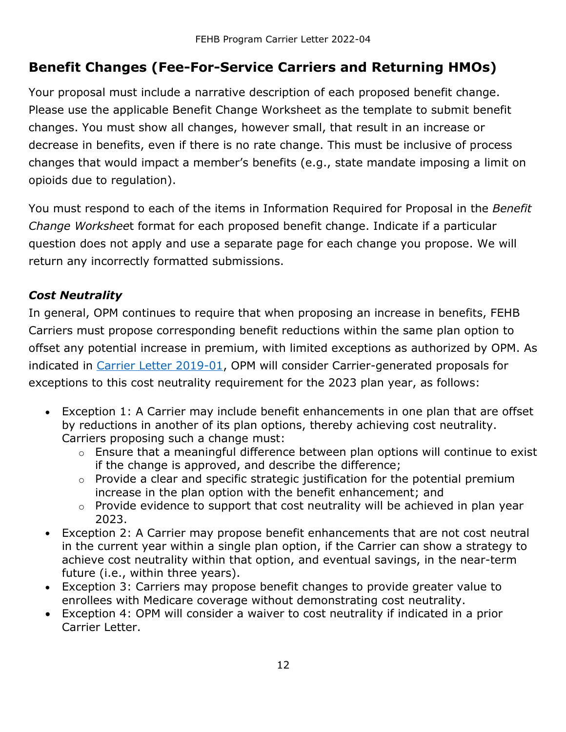# <span id="page-11-0"></span>**Benefit Changes (Fee-For-Service Carriers and Returning HMOs)**

Your proposal must include a narrative description of each proposed benefit change. Please use the applicable Benefit Change Worksheet as the template to submit benefit changes. You must show all changes, however small, that result in an increase or decrease in benefits, even if there is no rate change. This must be inclusive of process changes that would impact a member's benefits (e.g., state mandate imposing a limit on opioids due to regulation).

You must respond to each of the items in Information Required for Proposal in the *Benefit Change Workshee*t format for each proposed benefit change. Indicate if a particular question does not apply and use a separate page for each change you propose. We will return any incorrectly formatted submissions.

#### <span id="page-11-1"></span>*Cost Neutrality*

In general, OPM continues to require that when proposing an increase in benefits, FEHB Carriers must propose corresponding benefit reductions within the same plan option to offset any potential increase in premium, with limited exceptions as authorized by OPM. As indicated in [Carrier Letter 2019-01,](https://www.opm.gov/healthcare-insurance/healthcare/carriers/2019/2019-01.pdf) OPM will consider Carrier-generated proposals for exceptions to this cost neutrality requirement for the 2023 plan year, as follows:

- Exception 1: A Carrier may include benefit enhancements in one plan that are offset by reductions in another of its plan options, thereby achieving cost neutrality. Carriers proposing such a change must:
	- o Ensure that a meaningful difference between plan options will continue to exist if the change is approved, and describe the difference;
	- o Provide a clear and specific strategic justification for the potential premium increase in the plan option with the benefit enhancement; and
	- o Provide evidence to support that cost neutrality will be achieved in plan year 2023.
- Exception 2: A Carrier may propose benefit enhancements that are not cost neutral in the current year within a single plan option, if the Carrier can show a strategy to achieve cost neutrality within that option, and eventual savings, in the near-term future (i.e., within three years).
- Exception 3: Carriers may propose benefit changes to provide greater value to enrollees with Medicare coverage without demonstrating cost neutrality.
- Exception 4: OPM will consider a waiver to cost neutrality if indicated in a prior Carrier Letter.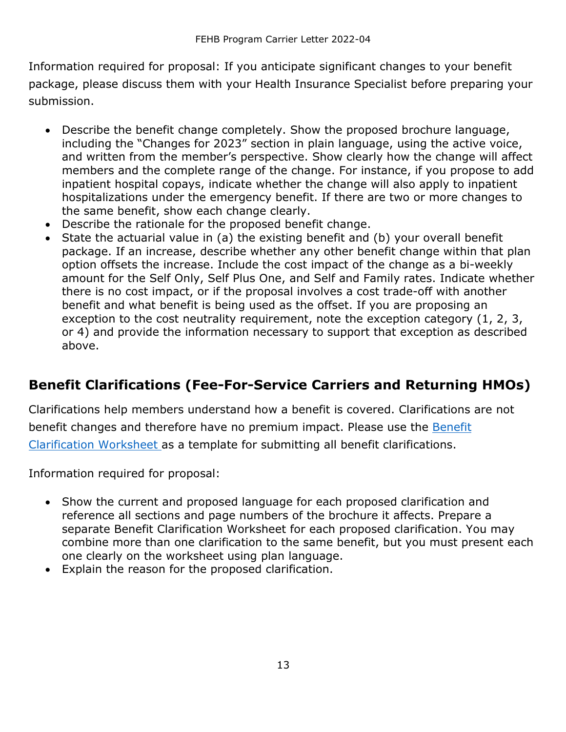Information required for proposal: If you anticipate significant changes to your benefit package, please discuss them with your Health Insurance Specialist before preparing your submission.

- Describe the benefit change completely. Show the proposed brochure language, including the "Changes for 2023" section in plain language, using the active voice, and written from the member's perspective. Show clearly how the change will affect members and the complete range of the change. For instance, if you propose to add inpatient hospital copays, indicate whether the change will also apply to inpatient hospitalizations under the emergency benefit. If there are two or more changes to the same benefit, show each change clearly.
- Describe the rationale for the proposed benefit change.
- State the actuarial value in (a) the existing benefit and (b) your overall benefit package. If an increase, describe whether any other benefit change within that plan option offsets the increase. Include the cost impact of the change as a bi-weekly amount for the Self Only, Self Plus One, and Self and Family rates. Indicate whether there is no cost impact, or if the proposal involves a cost trade-off with another benefit and what benefit is being used as the offset. If you are proposing an exception to the cost neutrality requirement, note the exception category (1, 2, 3, or 4) and provide the information necessary to support that exception as described above.

# <span id="page-12-0"></span>**Benefit Clarifications (Fee-For-Service Carriers and Returning HMOs)**

Clarifications help members understand how a benefit is covered. Clarifications are not benefit changes and therefore have no premium impact. Please use the Benefit [Clarification Worksheet a](#page-54-0)s a template for submitting all benefit clarifications.

Information required for proposal:

- Show the current and proposed language for each proposed clarification and reference all sections and page numbers of the brochure it affects. Prepare a separate Benefit Clarification Worksheet for each proposed clarification. You may combine more than one clarification to the same benefit, but you must present each one clearly on the worksheet using plan language.
- Explain the reason for the proposed clarification.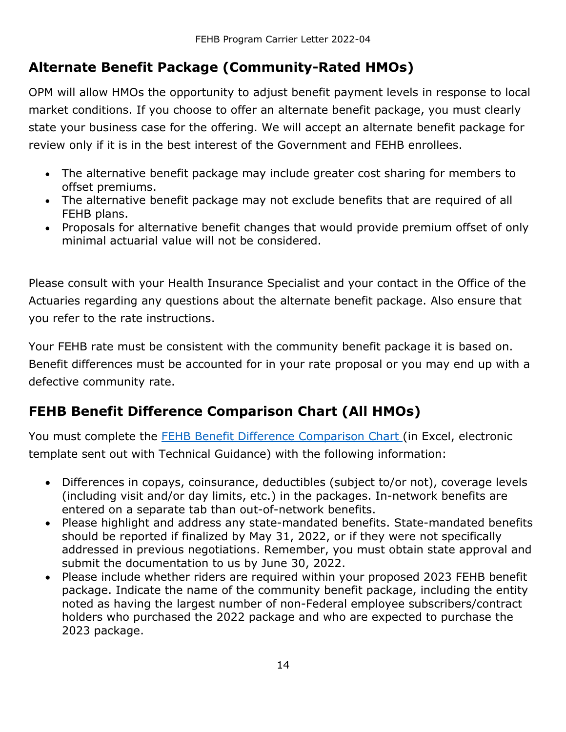# <span id="page-13-0"></span>**Alternate Benefit Package (Community-Rated HMOs)**

OPM will allow HMOs the opportunity to adjust benefit payment levels in response to local market conditions. If you choose to offer an alternate benefit package, you must clearly state your business case for the offering. We will accept an alternate benefit package for review only if it is in the best interest of the Government and FEHB enrollees.

- The alternative benefit package may include greater cost sharing for members to offset premiums.
- The alternative benefit package may not exclude benefits that are required of all FEHB plans.
- Proposals for alternative benefit changes that would provide premium offset of only minimal actuarial value will not be considered.

Please consult with your Health Insurance Specialist and your contact in the Office of the Actuaries regarding any questions about the alternate benefit package. Also ensure that you refer to the rate instructions.

Your FEHB rate must be consistent with the community benefit package it is based on. Benefit differences must be accounted for in your rate proposal or you may end up with a defective community rate.

# <span id="page-13-1"></span>**FEHB Benefit Difference Comparison Chart (All HMOs)**

You must complete the **FEHB Benefit Difference Comparison Chart** (in Excel, electronic template sent out with Technical Guidance) with the following information:

- Differences in copays, coinsurance, deductibles (subject to/or not), coverage levels (including visit and/or day limits, etc.) in the packages. In-network benefits are entered on a separate tab than out-of-network benefits.
- Please highlight and address any state-mandated benefits. State-mandated benefits should be reported if finalized by May 31, 2022, or if they were not specifically addressed in previous negotiations. Remember, you must obtain state approval and submit the documentation to us by June 30, 2022.
- Please include whether riders are required within your proposed 2023 FEHB benefit package. Indicate the name of the community benefit package, including the entity noted as having the largest number of non-Federal employee subscribers/contract holders who purchased the 2022 package and who are expected to purchase the 2023 package.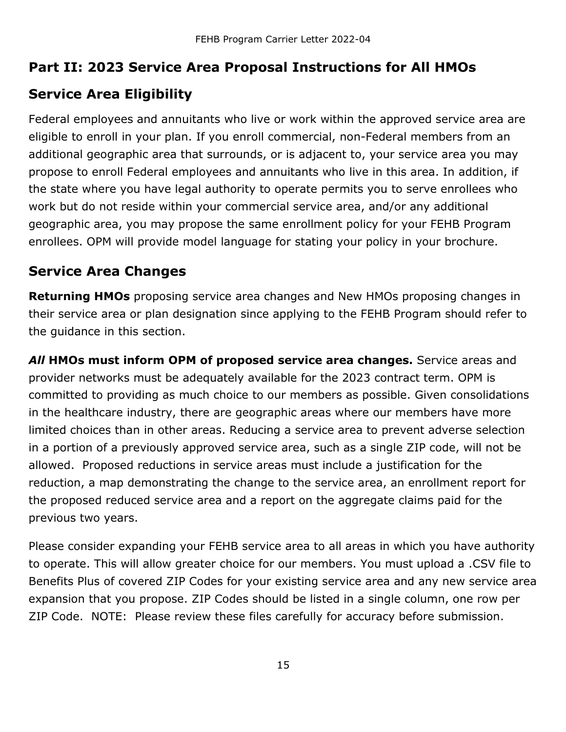### <span id="page-14-0"></span>**Part II: 2023 Service Area Proposal Instructions for All HMOs**

## <span id="page-14-1"></span>**Service Area Eligibility**

Federal employees and annuitants who live or work within the approved service area are eligible to enroll in your plan. If you enroll commercial, non-Federal members from an additional geographic area that surrounds, or is adjacent to, your service area you may propose to enroll Federal employees and annuitants who live in this area. In addition, if the state where you have legal authority to operate permits you to serve enrollees who work but do not reside within your commercial service area, and/or any additional geographic area, you may propose the same enrollment policy for your FEHB Program enrollees. OPM will provide model language for stating your policy in your brochure.

## <span id="page-14-2"></span>**Service Area Changes**

**Returning HMOs** proposing service area changes and New HMOs proposing changes in their service area or plan designation since applying to the FEHB Program should refer to the guidance in this section.

*All* **HMOs must inform OPM of proposed service area changes.** Service areas and provider networks must be adequately available for the 2023 contract term. OPM is committed to providing as much choice to our members as possible. Given consolidations in the healthcare industry, there are geographic areas where our members have more limited choices than in other areas. Reducing a service area to prevent adverse selection in a portion of a previously approved service area, such as a single ZIP code, will not be allowed. Proposed reductions in service areas must include a justification for the reduction, a map demonstrating the change to the service area, an enrollment report for the proposed reduced service area and a report on the aggregate claims paid for the previous two years.

Please consider expanding your FEHB service area to all areas in which you have authority to operate. This will allow greater choice for our members. You must upload a .CSV file to Benefits Plus of covered ZIP Codes for your existing service area and any new service area expansion that you propose. ZIP Codes should be listed in a single column, one row per ZIP Code. NOTE: Please review these files carefully for accuracy before submission.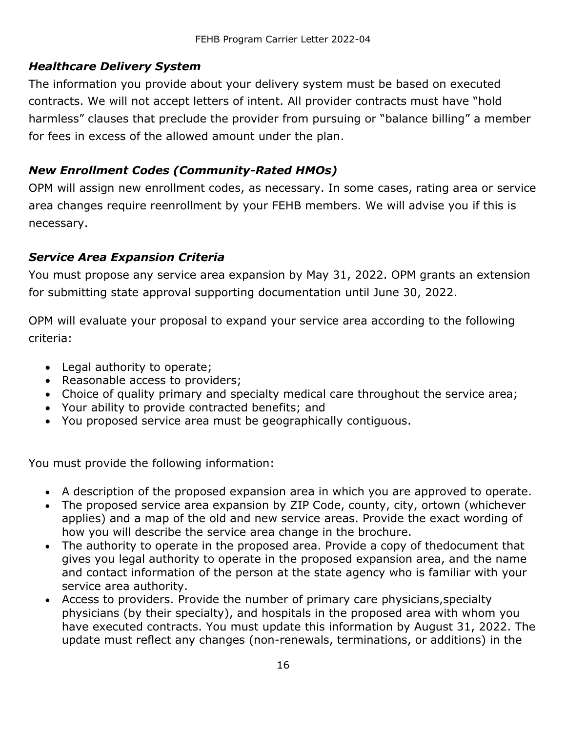#### <span id="page-15-0"></span>*Healthcare Delivery System*

The information you provide about your delivery system must be based on executed contracts. We will not accept letters of intent. All provider contracts must have "hold harmless" clauses that preclude the provider from pursuing or "balance billing" a member for fees in excess of the allowed amount under the plan.

#### <span id="page-15-1"></span>*New Enrollment Codes (Community-Rated HMOs)*

OPM will assign new enrollment codes, as necessary. In some cases, rating area or service area changes require reenrollment by your FEHB members. We will advise you if this is necessary.

#### <span id="page-15-2"></span>*Service Area Expansion Criteria*

You must propose any service area expansion by May 31, 2022. OPM grants an extension for submitting state approval supporting documentation until June 30, 2022.

OPM will evaluate your proposal to expand your service area according to the following criteria:

- Legal authority to operate;
- Reasonable access to providers;
- Choice of quality primary and specialty medical care throughout the service area;
- Your ability to provide contracted benefits; and
- You proposed service area must be geographically contiguous.

You must provide the following information:

- A description of the proposed expansion area in which you are approved to operate.
- The proposed service area expansion by ZIP Code, county, city, ortown (whichever applies) and a map of the old and new service areas. Provide the exact wording of how you will describe the service area change in the brochure.
- The authority to operate in the proposed area. Provide a copy of thedocument that gives you legal authority to operate in the proposed expansion area, and the name and contact information of the person at the state agency who is familiar with your service area authority.
- Access to providers. Provide the number of primary care physicians,specialty physicians (by their specialty), and hospitals in the proposed area with whom you have executed contracts. You must update this information by August 31, 2022. The update must reflect any changes (non-renewals, terminations, or additions) in the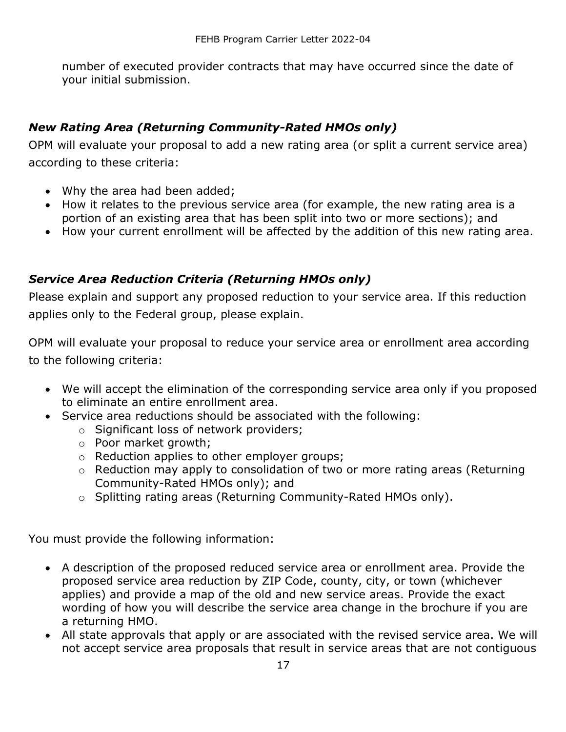number of executed provider contracts that may have occurred since the date of your initial submission.

#### <span id="page-16-0"></span>*New Rating Area (Returning Community-Rated HMOs only)*

OPM will evaluate your proposal to add a new rating area (or split a current service area) according to these criteria:

- Why the area had been added;
- How it relates to the previous service area (for example, the new rating area is a portion of an existing area that has been split into two or more sections); and
- How your current enrollment will be affected by the addition of this new rating area.

#### <span id="page-16-1"></span>*Service Area Reduction Criteria (Returning HMOs only)*

Please explain and support any proposed reduction to your service area. If this reduction applies only to the Federal group, please explain.

OPM will evaluate your proposal to reduce your service area or enrollment area according to the following criteria:

- We will accept the elimination of the corresponding service area only if you proposed to eliminate an entire enrollment area.
- Service area reductions should be associated with the following:
	- o Significant loss of network providers;
	- o Poor market growth;
	- o Reduction applies to other employer groups;
	- o Reduction may apply to consolidation of two or more rating areas (Returning Community-Rated HMOs only); and
	- o Splitting rating areas (Returning Community-Rated HMOs only).

You must provide the following information:

- A description of the proposed reduced service area or enrollment area. Provide the proposed service area reduction by ZIP Code, county, city, or town (whichever applies) and provide a map of the old and new service areas. Provide the exact wording of how you will describe the service area change in the brochure if you are a returning HMO.
- All state approvals that apply or are associated with the revised service area. We will not accept service area proposals that result in service areas that are not contiguous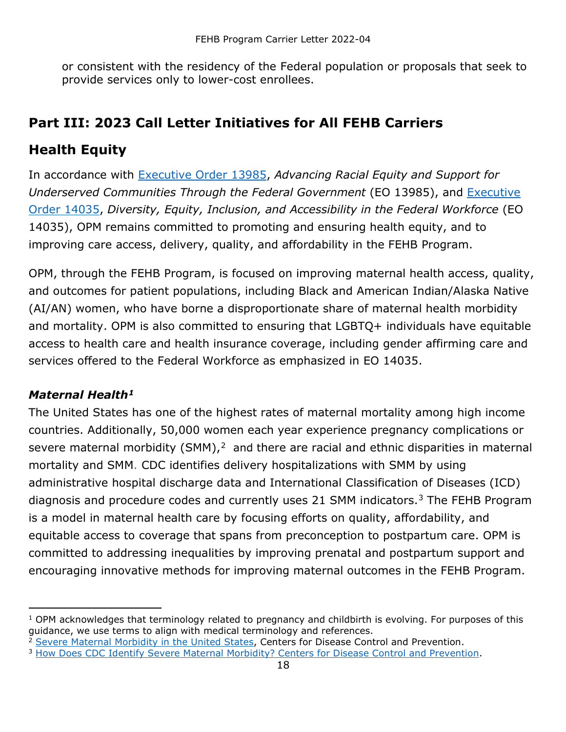or consistent with the residency of the Federal population or proposals that seek to provide services only to lower-cost enrollees.

# <span id="page-17-0"></span>**Part III: 2023 Call Letter Initiatives for All FEHB Carriers**

### <span id="page-17-1"></span>**Health Equity**

In accordance with [Executive Order 13985,](https://www.federalregister.gov/documents/2021/01/25/2021-01753/advancing-racial-equity-and-support-for-underserved-communities-through-the-federal-government) *Advancing Racial Equity and Support for Underserved Communities Through the Federal Government* (EO 13985), and [Executive](https://www.federalregister.gov/documents/2021/06/30/2021-14127/diversity-equity-inclusion-and-accessibility-in-the-federal-workforce)  [Order 14035,](https://www.federalregister.gov/documents/2021/06/30/2021-14127/diversity-equity-inclusion-and-accessibility-in-the-federal-workforce) *Diversity, Equity, Inclusion, and Accessibility in the Federal Workforce* (EO 14035), OPM remains committed to promoting and ensuring health equity, and to improving care access, delivery, quality, and affordability in the FEHB Program.

OPM, through the FEHB Program, is focused on improving maternal health access, quality, and outcomes for patient populations, including Black and American Indian/Alaska Native (AI/AN) women, who have borne a disproportionate share of maternal health morbidity and mortality. OPM is also committed to ensuring that LGBTQ+ individuals have equitable access to health care and health insurance coverage, including gender affirming care and services offered to the Federal Workforce as emphasized in EO 14035.

### <span id="page-17-2"></span>*Maternal Health[1](#page-17-3)*

The United States has one of the highest rates of maternal mortality among high income countries. Additionally, 50,000 women each year experience pregnancy complications or severe maternal morbidity (SMM), $<sup>2</sup>$  $<sup>2</sup>$  $<sup>2</sup>$  and there are racial and ethnic disparities in maternal</sup> mortality and SMM. CDC identifies delivery hospitalizations with SMM by using administrative hospital discharge data and International Classification of Diseases (ICD) diagnosis and procedure codes and currently uses 21 SMM indicators.<sup>[3](#page-17-5)</sup> The FEHB Program is a model in maternal health care by focusing efforts on quality, affordability, and equitable access to coverage that spans from preconception to postpartum care. OPM is committed to addressing inequalities by improving prenatal and postpartum support and encouraging innovative methods for improving maternal outcomes in the FEHB Program.

<span id="page-17-3"></span> $1$  OPM acknowledges that terminology related to pregnancy and childbirth is evolving. For purposes of this guidance, we use terms to align with medical terminology and references.<br><sup>2</sup> [Severe Maternal Morbidity in the United States,](https://www.cdc.gov/reproductivehealth/maternalinfanthealth/severematernalmorbidity.html) Centers for Disease Control and Prevention.

<span id="page-17-4"></span>

<span id="page-17-5"></span><sup>&</sup>lt;sup>3</sup> [How Does CDC Identify Severe Maternal Morbidity?](https://www.cdc.gov/reproductivehealth/maternalinfanthealth/smm/severe-morbidity-ICD.htm) Centers for Disease Control and Prevention.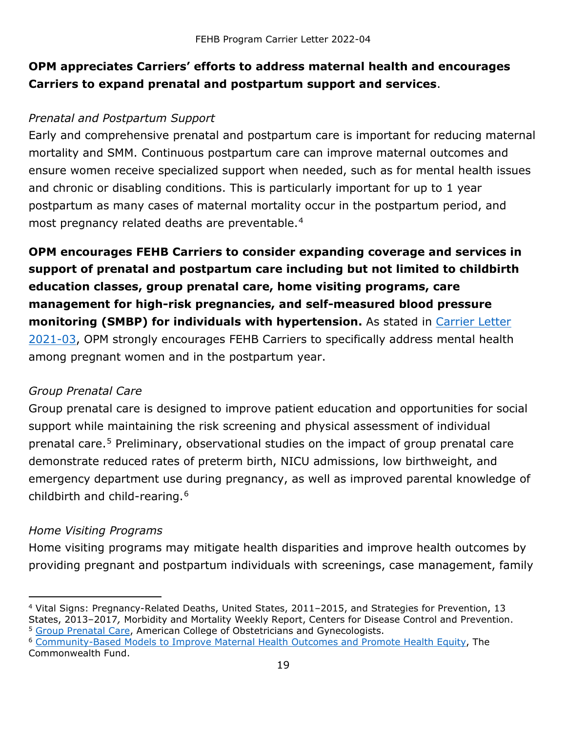### **OPM appreciates Carriers' efforts to address maternal health and encourages Carriers to expand prenatal and postpartum support and services**.

#### *Prenatal and Postpartum Support*

Early and comprehensive prenatal and postpartum care is important for reducing maternal mortality and SMM. Continuous postpartum care can improve maternal outcomes and ensure women receive specialized support when needed, such as for mental health issues and chronic or disabling conditions. This is particularly important for up to 1 year postpartum as many cases of maternal mortality occur in the postpartum period, and most pregnancy related deaths are preventable.<sup>[4](#page-18-0)</sup>

**OPM encourages FEHB Carriers to consider expanding coverage and services in support of prenatal and postpartum care including but not limited to childbirth education classes, group prenatal care, home visiting programs, care management for high-risk pregnancies, and self-measured blood pressure monitoring (SMBP) for individuals with hypertension.** As stated in [Carrier Letter](https://www.opm.gov/healthcare-insurance/healthcare/carriers/2021/2021-03.pdf)  [2021-03,](https://www.opm.gov/healthcare-insurance/healthcare/carriers/2021/2021-03.pdf) OPM strongly encourages FEHB Carriers to specifically address mental health among pregnant women and in the postpartum year.

#### *Group Prenatal Care*

Group prenatal care is designed to improve patient education and opportunities for social support while maintaining the risk screening and physical assessment of individual prenatal care.<sup>[5](#page-18-1)</sup> Preliminary, observational studies on the impact of group prenatal care demonstrate reduced rates of preterm birth, NICU admissions, low birthweight, and emergency department use during pregnancy, as well as improved parental knowledge of childbirth and child-rearing.[6](#page-18-2)

#### *Home Visiting Programs*

Home visiting programs may mitigate health disparities and improve health outcomes by providing pregnant and postpartum individuals with screenings, case management, family

<span id="page-18-0"></span><sup>4</sup> Vital Signs: Pregnancy-Related Deaths, United States, 2011–2015, and Strategies for Prevention, 13 States, 2013–2017*,* Morbidity and Mortality Weekly Report, Centers for Disease Control and Prevention. <sup>5</sup> [Group Prenatal Care,](https://www.acog.org/clinical/clinical-guidance/committee-opinion/articles/2018/03/group-prenatal-care) American College of Obstetricians and Gynecologists.

<span id="page-18-2"></span><span id="page-18-1"></span><sup>&</sup>lt;sup>6</sup> [Community-Based Models to Improve Maternal Health Outcomes and Promote Health Equity,](https://www.commonwealthfund.org/publications/issue-briefs/2021/mar/community-models-improve-maternal-outcomes-equity) The Commonwealth Fund.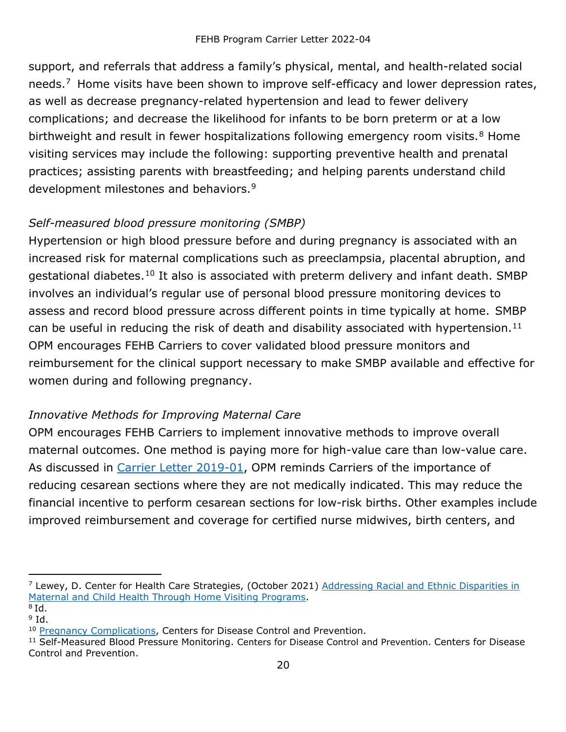support, and referrals that address a family's physical, mental, and health-related social needs.<sup>[7](#page-19-0)</sup> Home visits have been shown to improve self-efficacy and lower depression rates, as well as decrease pregnancy-related hypertension and lead to fewer delivery complications; and decrease the likelihood for infants to be born preterm or at a low birthweight and result in fewer hospitalizations following emergency room visits.<sup>[8](#page-19-1)</sup> Home visiting services may include the following: supporting preventive health and prenatal practices; assisting parents with breastfeeding; and helping parents understand child development milestones and behaviors.<sup>[9](#page-19-2)</sup>

### *Self-measured blood pressure monitoring (SMBP)*

Hypertension or high blood pressure before and during pregnancy is associated with an increased risk for maternal complications such as preeclampsia, placental abruption, and gestational diabetes.<sup>[10](#page-19-3)</sup> It also is associated with preterm delivery and infant death. SMBP involves an individual's regular use of personal blood pressure monitoring devices to assess and record blood pressure across different points in time typically at home. SMBP can be useful in reducing the risk of death and disability associated with hypertension.<sup>[11](#page-19-4)</sup> OPM encourages FEHB Carriers to cover validated blood pressure monitors and reimbursement for the clinical support necessary to make SMBP available and effective for women during and following pregnancy.

#### *Innovative Methods for Improving Maternal Care*

OPM encourages FEHB Carriers to implement innovative methods to improve overall maternal outcomes. One method is paying more for high-value care than low-value care. As discussed in [Carrier Letter 2019-01,](https://www.opm.gov/healthcare-insurance/healthcare/carriers/2019/2019-01.pdf) OPM reminds Carriers of the importance of reducing cesarean sections where they are not medically indicated. This may reduce the financial incentive to perform cesarean sections for low-risk births. Other examples include improved reimbursement and coverage for certified nurse midwives, birth centers, and

<span id="page-19-0"></span> $<sup>7</sup>$  Lewey, D. Center for Health Care Strategies, (October 2021) Addressing Racial and Ethnic Disparities in</sup> [Maternal and Child Health Through Home Visiting Programs.](https://www.chcs.org/media/Addressing-Racial-Ethnic-Disparities-Maternal-Child-Health-Home-Visiting-Programs.pdf)

<span id="page-19-1"></span> $8$  Id.

<span id="page-19-3"></span>

<span id="page-19-2"></span><sup>&</sup>lt;sup>9</sup> Id.<br><sup>10</sup> Pregnancy Complications, Centers for Disease Control and Prevention.

<span id="page-19-4"></span><sup>&</sup>lt;sup>11</sup> [Self-Measured Blood Pressure Monitoring. Centers for Disease Control and Prevention.](https://www.cdc.gov/dhdsp/pubs/guides/best-practices/smbp.htm) Centers for Disease Control and Prevention.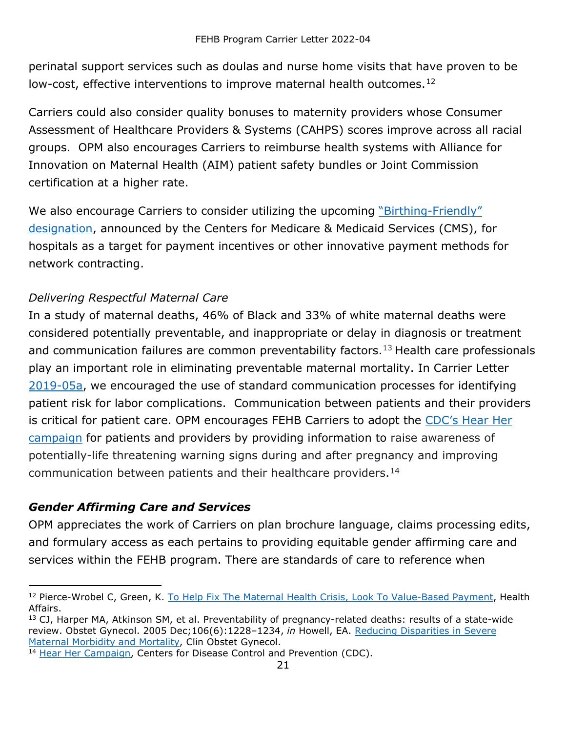perinatal support services such as doulas and nurse home visits that have proven to be low-cost, effective interventions to improve maternal health outcomes.<sup>[12](#page-20-1)</sup>

Carriers could also consider quality bonuses to maternity providers whose Consumer Assessment of Healthcare Providers & Systems (CAHPS) scores improve across all racial groups. OPM also encourages Carriers to reimburse health systems with Alliance for Innovation on Maternal Health (AIM) patient safety bundles or Joint Commission certification at a higher rate.

We also encourage Carriers to consider utilizing the upcoming "Birthing-Friendly" [designation,](https://www.hhs.gov/about/news/2021/12/07/hhs-announces-efforts-help-expand-nationwide-access-coverage-high-quality-maternal-health-services.html) announced by the Centers for Medicare & Medicaid Services (CMS), for hospitals as a target for payment incentives or other innovative payment methods for network contracting.

#### *Delivering Respectful Maternal Care*

In a study of maternal deaths, 46% of Black and 33% of white maternal deaths were considered potentially preventable, and inappropriate or delay in diagnosis or treatment and communication failures are common preventability factors.<sup>[13](#page-20-2)</sup> Health care professionals play an important role in eliminating preventable maternal mortality. In Carrier Letter [2019-05a,](https://www.opm.gov/healthcare-insurance/healthcare/carriers/2019/2019-05a.pdf) we encouraged the use of standard communication processes for identifying patient risk for labor complications. Communication between patients and their providers is critical for patient care. OPM encourages FEHB Carriers to adopt the [CDC's Hear Her](https://www.cdc.gov/hearher/healthcare-providers/index.html)  [campaign](https://www.cdc.gov/hearher/healthcare-providers/index.html) for patients and providers by providing information to raise awareness of potentially-life threatening warning signs during and after pregnancy and improving communication between patients and their healthcare providers.<sup>[14](#page-20-3)</sup>

### <span id="page-20-0"></span>*Gender Affirming Care and Services*

OPM appreciates the work of Carriers on plan brochure language, claims processing edits, and formulary access as each pertains to providing equitable gender affirming care and services within the FEHB program. There are standards of care to reference when

<span id="page-20-1"></span><sup>&</sup>lt;sup>12</sup> Pierce-Wrobel C, Green, K. [To Help Fix The Maternal Health Crisis, Look To](https://www.healthaffairs.org/do/10.1377/forefront.20190711.816632/full/) Value-Based Payment, Health Affairs.

<span id="page-20-2"></span><sup>&</sup>lt;sup>13</sup> CJ, Harper MA, Atkinson SM, et al. Preventability of pregnancy-related deaths: results of a state-wide review. Obstet Gynecol. 2005 Dec;106(6):1228–1234, *in* Howell, EA. [Reducing Disparities in Severe](https://www.ncbi.nlm.nih.gov/pmc/articles/PMC5915910/)  [Maternal Morbidity and Mortality,](https://www.ncbi.nlm.nih.gov/pmc/articles/PMC5915910/) Clin Obstet Gynecol.

<span id="page-20-3"></span><sup>&</sup>lt;sup>14</sup> [Hear Her Campaign,](https://www.cdc.gov/hearher/index.html) Centers for Disease Control and Prevention (CDC).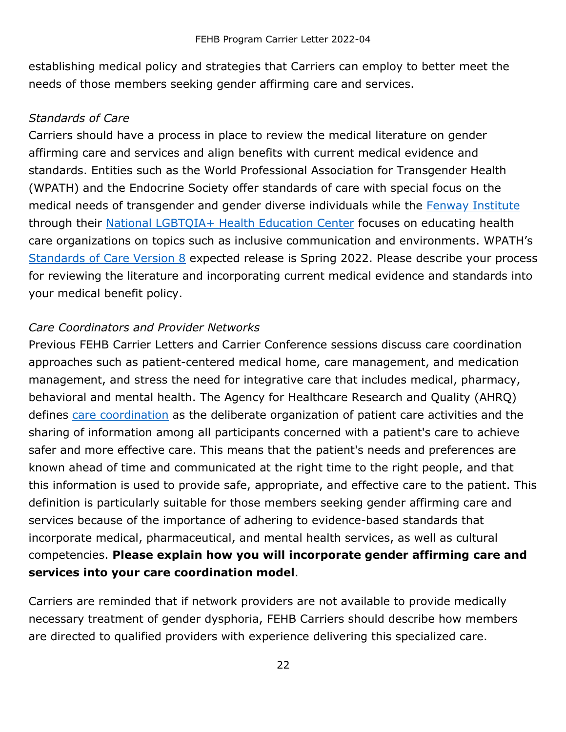establishing medical policy and strategies that Carriers can employ to better meet the needs of those members seeking gender affirming care and services.

#### *Standards of Care*

Carriers should have a process in place to review the medical literature on gender affirming care and services and align benefits with current medical evidence and standards. Entities such as the World Professional [Association for Transgender Health](https://www.wpath.org/)  [\(WPATH\) a](https://www.wpath.org/)nd the [Endocrine Society](https://www.endocrine.org/) offer standards of care with special focus on the medical needs of transgender and gender diverse individuals while the Fenway [Institute](https://fenwayhealth.org/the-fenway-institute/) through their [National LGBTQIA+ Health](https://www.lgbtqiahealtheducation.org/) Education Center focuses on educating health care organizations on topics such as inclusive communication and environments. WPATH's [Standards of Care Version 8](https://www.wpath.org/soc8) expected release is Spring 2022. Please describe your process for reviewing the literature and incorporating current medical evidence and standards into your medical benefit policy.

#### *Care Coordinators and Provider Networks*

Previous FEHB Carrier Letters and Carrier Conference sessions discuss care coordination approaches such as patient-centered medical home, care management, and medication management, and stress the need for integrative care that includes medical, pharmacy, behavioral and mental health. The Agency for Healthcare Research and Quality (AHRQ) defines [care coordination](https://www.ahrq.gov/ncepcr/care/coordination.html) as the deliberate organization of patient care activities and the sharing of information among all participants concerned with a patient's care to achieve safer and more effective care. This means that the patient's needs and preferences are known ahead of time and communicated at the right time to the right people, and that this information is used to provide safe, appropriate, and effective care to the patient. This definition is particularly suitable for those members seeking gender affirming care and services because of the importance of adhering to evidence-based standards that incorporate medical, pharmaceutical, and mental health services, as well as cultural competencies. **Please explain how you will incorporate gender affirming care and services into your care coordination model**.

Carriers are reminded that if network providers are not available to provide medically necessary treatment of gender dysphoria, FEHB Carriers should describe how members are directed to qualified providers with experience delivering this specialized care.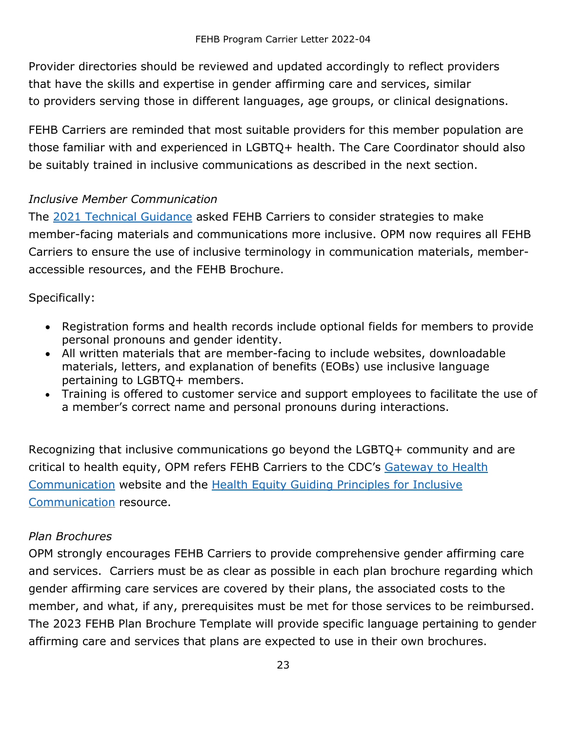Provider directories should be reviewed and updated accordingly to reflect providers that have the skills and expertise in gender affirming care and services, similar to providers serving those in different languages, age groups, or clinical designations.

FEHB Carriers are reminded that most suitable providers for this member population are those familiar with and experienced in LGBTQ+ health. The Care Coordinator should also be suitably trained in inclusive communications as described in the next section.

#### *Inclusive Member Communication*

The [2021 Technical Guidance](https://www.opm.gov/healthcare-insurance/healthcare/carriers/2021/2021-05.pdf) asked FEHB Carriers to consider strategies to make member-facing materials and communications more inclusive. OPM now requires all FEHB Carriers to ensure the use of inclusive terminology in communication materials, memberaccessible resources, and the FEHB Brochure.

Specifically:

- Registration forms and health records include optional fields for members to provide personal pronouns and gender identity.
- All written materials that are member-facing to include websites, downloadable materials, letters, and explanation of benefits (EOBs) use inclusive language pertaining to LGBTQ+ members.
- Training is offered to customer service and support employees to facilitate the use of a member's correct name and personal pronouns during interactions.

Recognizing that inclusive communications go beyond the LGBTQ+ community and are critical to health equity, OPM refers FEHB Carriers to the CDC's Gateway to Health [Communication](https://www.cdc.gov/healthcommunication/index.html) website and the [Health Equity Guiding Principles for Inclusive](https://www.cdc.gov/healthcommunication/Health_Equity.html)  [Communication](https://www.cdc.gov/healthcommunication/Health_Equity.html) resource.

#### *Plan Brochures*

OPM strongly encourages FEHB Carriers to provide comprehensive gender affirming care and services. Carriers must be as clear as possible in each plan brochure regarding which gender affirming care services are covered by their plans, the associated costs to the member, and what, if any, prerequisites must be met for those services to be reimbursed. The 2023 FEHB Plan Brochure Template will provide specific language pertaining to gender affirming care and services that plans are expected to use in their own brochures.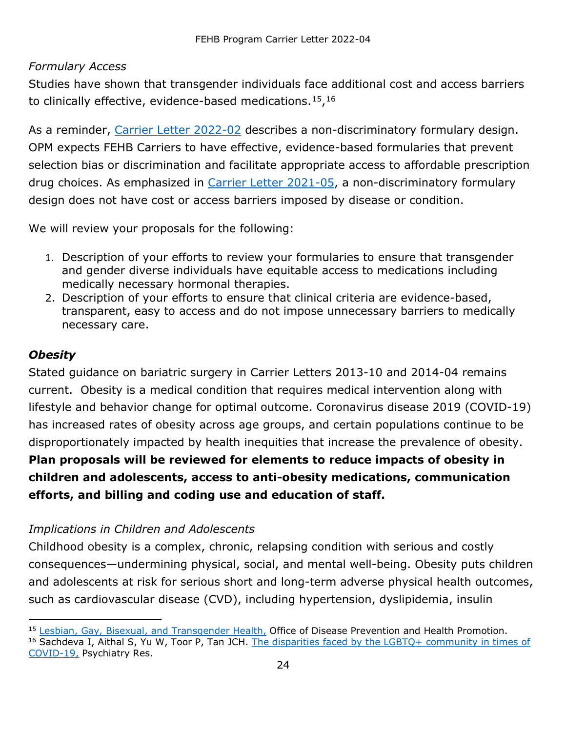#### *Formulary Access*

Studies have shown that transgender individuals face additional cost and access barriers to clinically effective, evidence-based medications.  $15,16$  $15,16$  $15,16$ 

As a reminder, [Carrier Letter 2022-02](https://www.opm.gov/healthcare-insurance/healthcare/carriers/2022/2022-02.pdf) describes a non-discriminatory formulary design. OPM expects FEHB Carriers to have effective, evidence-based formularies that prevent selection bias or discrimination and facilitate appropriate access to affordable prescription drug choices. As emphasized in [Carrier Letter 2021-05,](https://www.opm.gov/healthcare-insurance/healthcare/carriers/2021/2021-05.pdf) a non-discriminatory formulary design does not have cost or access barriers imposed by disease or condition.

We will review your proposals for the following:

- 1. Description of your efforts to review your formularies to ensure that transgender and gender diverse individuals have equitable access to medications including medically necessary hormonal therapies.
- 2. Description of your efforts to ensure that clinical criteria are evidence-based, transparent, easy to access and do not impose unnecessary barriers to medically necessary care.

#### <span id="page-23-0"></span>*Obesity*

Stated guidance on bariatric surgery in Carrier Letters 2013-10 and 2014-04 remains current. Obesity is a medical condition that requires medical intervention along with lifestyle and behavior change for optimal outcome. Coronavirus disease 2019 (COVID-19) has increased rates of obesity across age groups, and certain populations continue to be disproportionately impacted by health inequities that increase the prevalence of obesity. **Plan proposals will be reviewed for elements to reduce impacts of obesity in children and adolescents, access to anti-obesity medications, communication efforts, and billing and coding use and education of staff.**

#### *Implications in Children and Adolescents*

Childhood obesity is a complex, chronic, relapsing condition with serious and costly consequences—undermining physical, social, and mental well-being. Obesity puts children and adolescents at risk for serious short and long-term adverse physical health outcomes, such as cardiovascular disease (CVD), including hypertension, dyslipidemia, insulin

<span id="page-23-2"></span><span id="page-23-1"></span><sup>15</sup> [Lesbian, Gay, Bisexual, and Transgender Health,](https://www.healthypeople.gov/2020/topics-objectives/topic/lesbian-gay-bisexual-and-transgender-health) Office of Disease Prevention and Health Promotion. <sup>16</sup> Sachdeva I, Aithal S, Yu W, Toor P, Tan JCH. The disparities faced by the LGBTQ+ community in times of [COVID-19,](https://doi.org/10.1016/j.psychres.2021.113725) Psychiatry Res.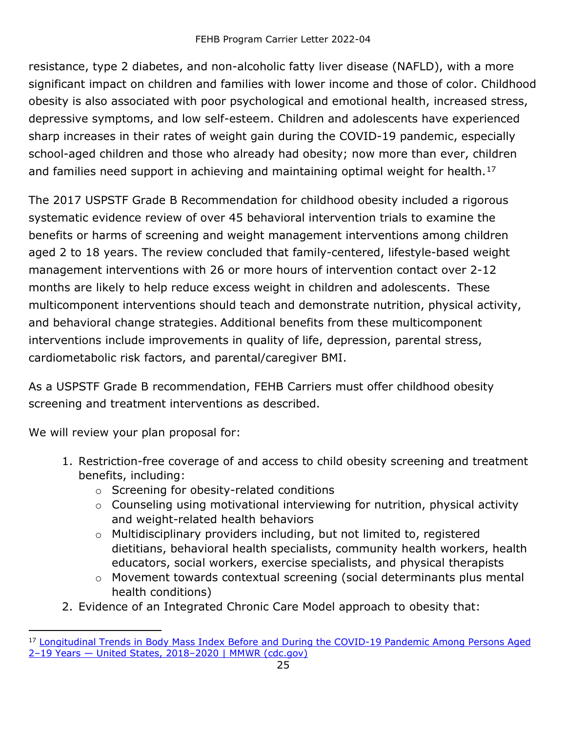resistance, type 2 diabetes, and non-alcoholic fatty liver disease (NAFLD), with a more significant impact on children and families with lower income and those of color. Childhood obesity is also associated with poor psychological and emotional health, increased stress, depressive symptoms, and low self-esteem. Children and adolescents have experienced sharp increases in their rates of weight gain during the COVID-19 pandemic, especially school-aged children and those who already had obesity; now more than ever, children and families need support in achieving and maintaining optimal weight for health.<sup>[17](#page-24-0)</sup>

The 2017 USPSTF Grade B Recommendation for childhood obesity included a rigorous systematic evidence review of over 45 behavioral intervention trials to examine the benefits or harms of screening and weight management interventions among children aged 2 to 18 years. The review concluded that family-centered, lifestyle-based weight management interventions with 26 or more hours of intervention contact over 2-12 months are likely to help reduce excess weight in children and adolescents. These multicomponent interventions should teach and demonstrate nutrition, physical activity, and behavioral change strategies. Additional benefits from these multicomponent interventions include improvements in quality of life, depression, parental stress, cardiometabolic risk factors, and parental/caregiver BMI.

As a USPSTF Grade B recommendation, FEHB Carriers must offer childhood obesity screening and treatment interventions as described.

We will review your plan proposal for:

- 1. Restriction-free coverage of and access to child obesity screening and treatment benefits, including:
	- o Screening for obesity-related conditions
	- o Counseling using motivational interviewing for nutrition, physical activity and weight-related health behaviors
	- o Multidisciplinary providers including, but not limited to, registered dietitians, behavioral health specialists, community health workers, health educators, social workers, exercise specialists, and physical therapists
	- o Movement towards contextual screening (social determinants plus mental health conditions)
- 2. Evidence of an Integrated Chronic Care Model approach to obesity that:

<span id="page-24-0"></span><sup>&</sup>lt;sup>17</sup> Longitudinal Trends in Body Mass Index Before and During the COVID-19 Pandemic Among Persons Aged [2–19 Years — United States, 2018–2020 | MMWR \(cdc.gov\)](https://www.cdc.gov/mmwr/volumes/70/wr/mm7037a3.htm)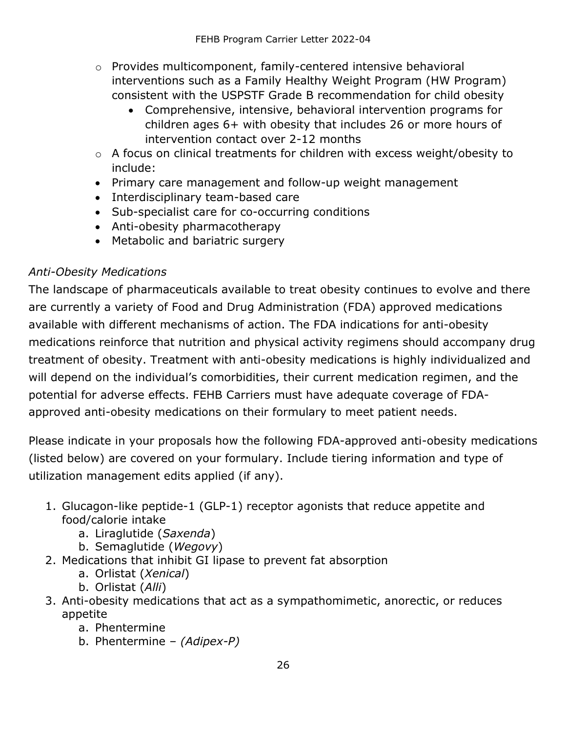- o Provides multicomponent, family-centered intensive behavioral interventions such as a Family Healthy Weight Program (HW Program) consistent with the USPSTF Grade B recommendation for child obesity
	- Comprehensive, intensive, behavioral intervention programs for children ages 6+ with obesity that includes 26 or more hours of intervention contact over 2-12 months
- o A focus on clinical treatments for children with excess weight/obesity to include:
- Primary care management and follow-up weight management
- Interdisciplinary team-based care
- Sub-specialist care for co-occurring conditions
- Anti-obesity pharmacotherapy
- Metabolic and bariatric surgery

#### *Anti-Obesity Medications*

The landscape of pharmaceuticals available to treat obesity continues to evolve and there are currently a variety of Food and Drug Administration (FDA) approved medications available with different mechanisms of action. The FDA indications for anti-obesity medications reinforce that nutrition and physical activity regimens should accompany drug treatment of obesity. Treatment with anti-obesity medications is highly individualized and will depend on the individual's comorbidities, their current medication regimen, and the potential for adverse effects. FEHB Carriers must have adequate coverage of FDAapproved anti-obesity medications on their formulary to meet patient needs.

Please indicate in your proposals how the following FDA-approved anti-obesity medications (listed below) are covered on your formulary. Include tiering information and type of utilization management edits applied (if any).

- 1. Glucagon-like peptide-1 (GLP-1) receptor agonists that reduce appetite and food/calorie intake
	- a. Liraglutide (*Saxenda*)
	- b. Semaglutide (*Wegovy*)
- 2. Medications that inhibit GI lipase to prevent fat absorption
	- a. Orlistat (*Xenical*)
	- b. Orlistat (*Alli*)
- 3. Anti-obesity medications that act as a sympathomimetic, anorectic, or reduces appetite
	- a. Phentermine
	- b. Phentermine *(Adipex-P)*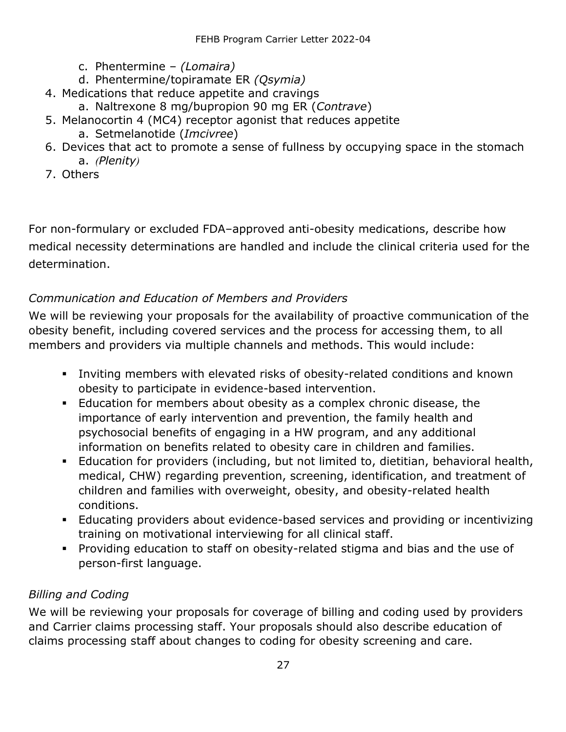- c. Phentermine *(Lomaira)*
- d. Phentermine/topiramate ER *(Qsymia)*
- 4. Medications that reduce appetite and cravings
	- a. Naltrexone 8 mg/bupropion 90 mg ER (*Contrave*)
- 5. Melanocortin 4 (MC4) receptor agonist that reduces appetite a. Setmelanotide (*Imcivree*)
- 6. Devices that act to promote a sense of fullness by occupying space in the stomach a. *(Plenity)*
- 7. Others

For non-formulary or excluded FDA–approved anti-obesity medications, describe how medical necessity determinations are handled and include the clinical criteria used for the determination.

#### *Communication and Education of Members and Providers*

We will be reviewing your proposals for the availability of proactive communication of the obesity benefit, including covered services and the process for accessing them, to all members and providers via multiple channels and methods. This would include:

- Inviting members with elevated risks of obesity-related conditions and known obesity to participate in evidence-based intervention.
- Education for members about obesity as a complex chronic disease, the importance of early intervention and prevention, the family health and psychosocial benefits of engaging in a HW program, and any additional information on benefits related to obesity care in children and families.
- Education for providers (including, but not limited to, dietitian, behavioral health, medical, CHW) regarding prevention, screening, identification, and treatment of children and families with overweight, obesity, and obesity-related health conditions.
- Educating providers about evidence-based services and providing or incentivizing training on motivational interviewing for all clinical staff.
- Providing education to staff on obesity-related stigma and bias and the use of person-first language.

#### *Billing and Coding*

We will be reviewing your proposals for coverage of billing and coding used by providers and Carrier claims processing staff. Your proposals should also describe education of claims processing staff about changes to coding for obesity screening and care.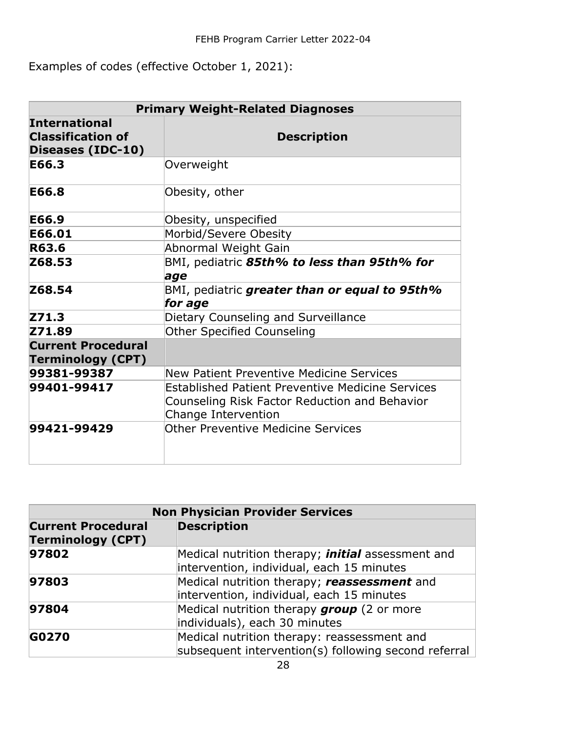Examples of codes (effective October 1, 2021):

| <b>Primary Weight-Related Diagnoses</b>                               |                                                                                                                                 |
|-----------------------------------------------------------------------|---------------------------------------------------------------------------------------------------------------------------------|
| <b>International</b><br><b>Classification of</b><br>Diseases (IDC-10) | <b>Description</b>                                                                                                              |
| E66.3                                                                 | Overweight                                                                                                                      |
| E66.8                                                                 | Obesity, other                                                                                                                  |
| E66.9                                                                 | Obesity, unspecified                                                                                                            |
| E66.01                                                                | Morbid/Severe Obesity                                                                                                           |
| R63.6                                                                 | Abnormal Weight Gain                                                                                                            |
| Z68.53                                                                | BMI, pediatric 85th% to less than 95th% for<br>age                                                                              |
| Z68.54                                                                | BMI, pediatric greater than or equal to 95th%<br>for age                                                                        |
| Z71.3                                                                 | Dietary Counseling and Surveillance                                                                                             |
| Z71.89                                                                | Other Specified Counseling                                                                                                      |
| <b>Current Procedural</b><br><b>Terminology (CPT)</b>                 |                                                                                                                                 |
| 99381-99387                                                           | New Patient Preventive Medicine Services                                                                                        |
| 99401-99417                                                           | <b>Established Patient Preventive Medicine Services</b><br>Counseling Risk Factor Reduction and Behavior<br>Change Intervention |
| 99421-99429                                                           | Other Preventive Medicine Services                                                                                              |

| <b>Non Physician Provider Services</b>                |                                                                                                       |
|-------------------------------------------------------|-------------------------------------------------------------------------------------------------------|
| <b>Current Procedural</b><br><b>Terminology (CPT)</b> | <b>Description</b>                                                                                    |
| 97802                                                 | Medical nutrition therapy; <i>initial</i> assessment and<br>intervention, individual, each 15 minutes |
| 97803                                                 | Medical nutrition therapy; reassessment and<br>intervention, individual, each 15 minutes              |
| 97804                                                 | Medical nutrition therapy group (2 or more<br>individuals), each 30 minutes                           |
| G0270                                                 | Medical nutrition therapy: reassessment and<br>subsequent intervention(s) following second referral   |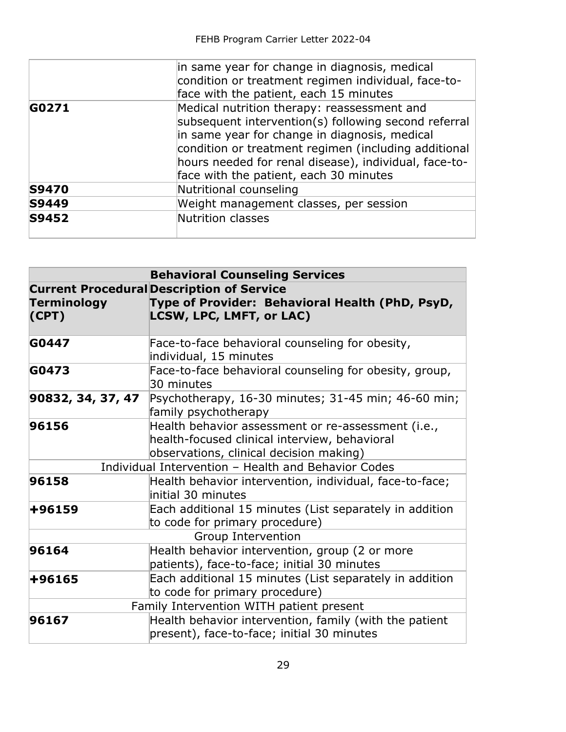|              | in same year for change in diagnosis, medical<br>condition or treatment regimen individual, face-to-<br>face with the patient, each 15 minutes                                                                                                                                                                  |
|--------------|-----------------------------------------------------------------------------------------------------------------------------------------------------------------------------------------------------------------------------------------------------------------------------------------------------------------|
| G0271        | Medical nutrition therapy: reassessment and<br>subsequent intervention(s) following second referral<br>in same year for change in diagnosis, medical<br>condition or treatment regimen (including additional<br>hours needed for renal disease), individual, face-to-<br>face with the patient, each 30 minutes |
| <b>S9470</b> | Nutritional counseling                                                                                                                                                                                                                                                                                          |
| <b>S9449</b> | Weight management classes, per session                                                                                                                                                                                                                                                                          |
| <b>S9452</b> | Nutrition classes                                                                                                                                                                                                                                                                                               |

| <b>Behavioral Counseling Services</b> |                                                                                                                                                |
|---------------------------------------|------------------------------------------------------------------------------------------------------------------------------------------------|
| <b>Terminology</b><br>(CPT)           | <b>Current Procedural Description of Service</b><br>Type of Provider: Behavioral Health (PhD, PsyD,<br><b>LCSW, LPC, LMFT, or LAC)</b>         |
| G0447                                 | Face-to-face behavioral counseling for obesity,<br>individual, 15 minutes                                                                      |
| G0473                                 | Face-to-face behavioral counseling for obesity, group,<br>30 minutes                                                                           |
| 90832, 34, 37, 47                     | Psychotherapy, 16-30 minutes; 31-45 min; 46-60 min;<br>family psychotherapy                                                                    |
| 96156                                 | Health behavior assessment or re-assessment (i.e.,<br>health-focused clinical interview, behavioral<br>observations, clinical decision making) |
|                                       | Individual Intervention - Health and Behavior Codes                                                                                            |
| 96158                                 | Health behavior intervention, individual, face-to-face;<br>initial 30 minutes                                                                  |
| +96159                                | Each additional 15 minutes (List separately in addition<br>to code for primary procedure)                                                      |
|                                       | Group Intervention                                                                                                                             |
| 96164                                 | Health behavior intervention, group (2 or more<br>patients), face-to-face; initial 30 minutes                                                  |
| +96165                                | Each additional 15 minutes (List separately in addition<br>to code for primary procedure)                                                      |
|                                       | Family Intervention WITH patient present                                                                                                       |
| 96167                                 | Health behavior intervention, family (with the patient<br>present), face-to-face; initial 30 minutes                                           |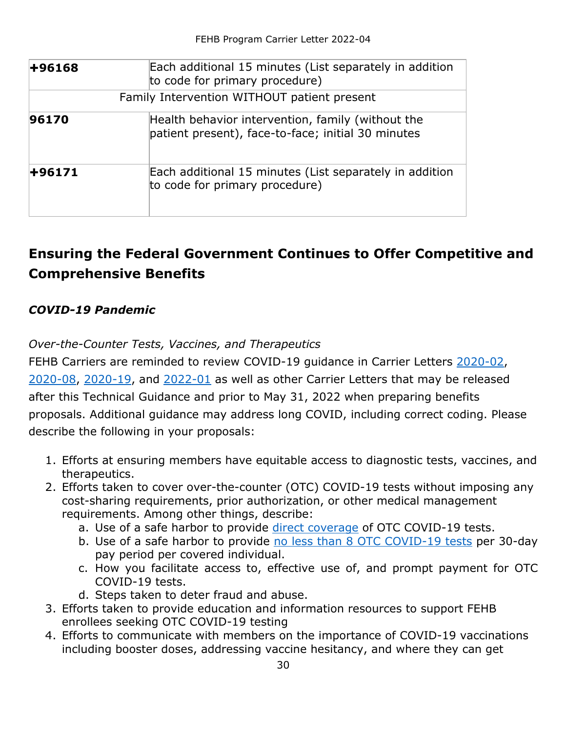| +96168 | Each additional 15 minutes (List separately in addition<br>to code for primary procedure)               |
|--------|---------------------------------------------------------------------------------------------------------|
|        | Family Intervention WITHOUT patient present                                                             |
| 96170  | Health behavior intervention, family (without the<br>patient present), face-to-face; initial 30 minutes |
| +96171 | Each additional 15 minutes (List separately in addition<br>to code for primary procedure)               |

# <span id="page-29-0"></span>**Ensuring the Federal Government Continues to Offer Competitive and Comprehensive Benefits**

### <span id="page-29-1"></span>*COVID-19 Pandemic*

*Over-the-Counter Tests, Vaccines, and Therapeutics*

FEHB Carriers are reminded to review COVID-19 guidance in Carrier Letters [2020-02,](https://www.opm.gov/healthcare-insurance/healthcare/carriers/2020/2020-02.pdf) [2020-08,](https://www.opm.gov/healthcare-insurance/healthcare/carriers/2020/2020-08.pdf) [2020-19,](https://www.opm.gov/healthcare-insurance/healthcare/carriers/2020/2020-19.pdf) and [2022-01](https://www.opm.gov/healthcare-insurance/healthcare/carriers/2022/2022-01.pdf) as well as other Carrier Letters that may be released after this Technical Guidance and prior to May 31, 2022 when preparing benefits proposals. Additional guidance may address long COVID, including correct coding. Please describe the following in your proposals:

- 1. Efforts at ensuring members have equitable access to diagnostic tests, vaccines, and therapeutics.
- 2. Efforts taken to cover over-the-counter (OTC) COVID-19 tests without imposing any cost-sharing requirements, prior authorization, or other medical management requirements. Among other things, describe:
	- a. Use of a safe harbor to provide [direct coverage](https://www.dol.gov/sites/dolgov/files/EBSA/about-ebsa/our-activities/resource-center/faqs/aca-part-51.pdf#page=5) of OTC COVID-19 tests.
	- b. Use of a safe harbor to provide [no less than 8 OTC COVID-19 tests](https://www.dol.gov/sites/dolgov/files/EBSA/about-ebsa/our-activities/resource-center/faqs/aca-part-51.pdf#page=6) per 30-day pay period per covered individual.
	- c. How you facilitate access to, effective use of, and prompt payment for OTC COVID-19 tests.
	- d. Steps taken to deter fraud and abuse.
- 3. Efforts taken to provide education and information resources to support FEHB enrollees seeking OTC COVID-19 testing
- 4. Efforts to communicate with members on the importance of COVID-19 vaccinations including booster doses, addressing vaccine hesitancy, and where they can get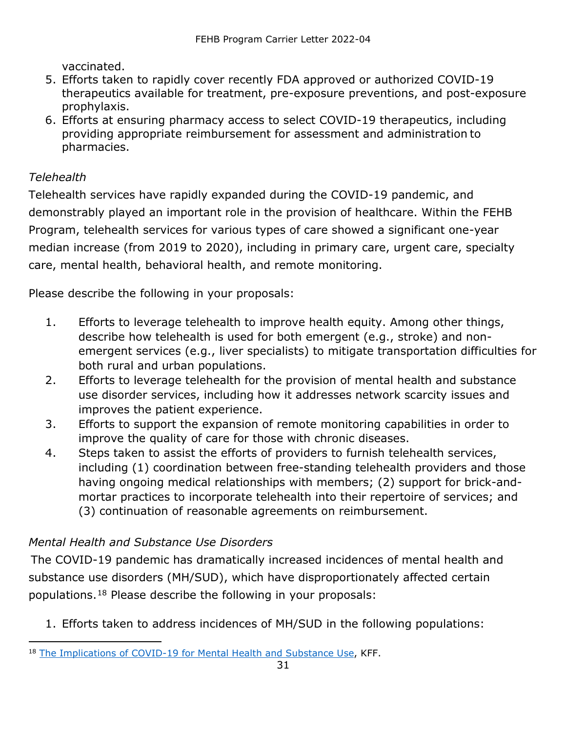vaccinated.

- 5. Efforts taken to rapidly cover recently FDA approved or authorized COVID-19 therapeutics available for treatment, pre-exposure preventions, and post-exposure prophylaxis.
- 6. Efforts at ensuring pharmacy access to select COVID-19 therapeutics, including providing appropriate reimbursement for assessment and administration to pharmacies.

#### *Telehealth*

Telehealth services have rapidly expanded during the COVID-19 pandemic, and demonstrably played an important role in the provision of healthcare. Within the FEHB Program, telehealth services for various types of care showed a significant one-year median increase (from 2019 to 2020), including in primary care, urgent care, specialty care, mental health, behavioral health, and remote monitoring.

Please describe the following in your proposals:

- 1. Efforts to leverage telehealth to improve health equity. Among other things, describe how telehealth is used for both emergent (e.g., stroke) and nonemergent services (e.g., liver specialists) to mitigate transportation difficulties for both rural and urban populations.
- 2. Efforts to leverage telehealth for the provision of mental health and substance use disorder services, including how it addresses network scarcity issues and improves the patient experience.
- 3. Efforts to support the expansion of remote monitoring capabilities in order to improve the quality of care for those with chronic diseases.
- 4. Steps taken to assist the efforts of providers to furnish telehealth services, including (1) coordination between free-standing telehealth providers and those having ongoing medical relationships with members; (2) support for brick-andmortar practices to incorporate telehealth into their repertoire of services; and (3) continuation of reasonable agreements on reimbursement.

### *Mental Health and Substance Use Disorders*

The COVID-19 pandemic has dramatically increased incidences of mental health and substance use disorders (MH/SUD), which have disproportionately affected certain populations.[18](#page-30-0) Please describe the following in your proposals:

1. Efforts taken to address incidences of MH/SUD in the following populations:

<span id="page-30-0"></span><sup>&</sup>lt;sup>18</sup> [The Implications of COVID-19 for Mental Health and Substance Use,](https://www.kff.org/coronavirus-covid-19/issue-brief/the-implications-of-covid-19-for-mental-health-and-substance-use/) KFF.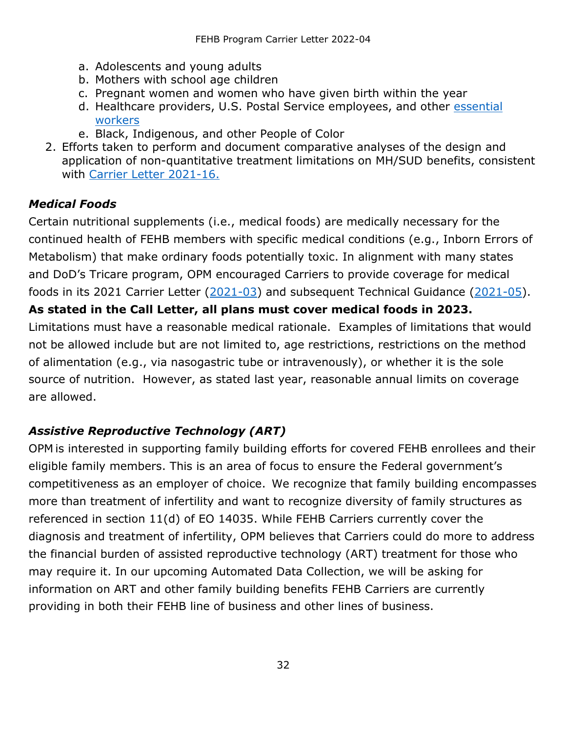- a. Adolescents and young adults
- b. Mothers with school age children
- c. Pregnant women and women who have given birth within the year
- d. Healthcare providers, U.S. Postal Service employees, and other [essential](https://www.cdc.gov/vaccines/covid-19/categories-essential-workers.html)  [workers](https://www.cdc.gov/vaccines/covid-19/categories-essential-workers.html)
- e. Black, Indigenous, and other People of Color
- 2. Efforts taken to perform and document comparative analyses of the design and application of non-quantitative treatment limitations on MH/SUD benefits, consistent with [Carrier Letter 2021-16.](https://www.opm.gov/healthcare-insurance/healthcare/carriers/2021/2021-16.pdf)

### <span id="page-31-0"></span>*Medical Foods*

Certain nutritional supplements (i.e., medical foods) are medically necessary for the continued health of FEHB members with specific medical conditions (e.g., Inborn Errors of Metabolism) that make ordinary foods potentially toxic. In alignment with many states and DoD's Tricare program, OPM encouraged Carriers to provide coverage for medical foods in its 2021 Carrier Letter [\(2021-03\)](https://www.opm.gov/healthcare-insurance/healthcare/carriers/2021/2021-03.pdf) and subsequent Technical Guidance [\(2021-05\)](https://www.opm.gov/healthcare-insurance/healthcare/carriers/2021/2021-05.pdf). **As stated in the Call Letter, all plans must cover medical foods in 2023.** Limitations must have a reasonable medical rationale. Examples of limitations that would not be allowed include but are not limited to, age restrictions, restrictions on the method of alimentation (e.g., via nasogastric tube or intravenously), or whether it is the sole source of nutrition. However, as stated last year, reasonable annual limits on coverage are allowed.

### <span id="page-31-1"></span>*Assistive Reproductive Technology (ART)*

OPM is interested in supporting family building efforts for covered FEHB enrollees and their eligible family members. This is an area of focus to ensure the Federal government's competitiveness as an employer of choice.  We recognize that family building encompasses more than treatment of infertility and want to recognize diversity of family structures as referenced in section 11(d) of EO 14035. While FEHB Carriers currently cover the diagnosis and treatment of infertility, OPM believes that Carriers could do more to address the financial burden of assisted reproductive technology (ART) treatment for those who may require it. In our upcoming Automated Data Collection, we will be asking for information on ART and other family building benefits FEHB Carriers are currently providing in both their FEHB line of business and other lines of business.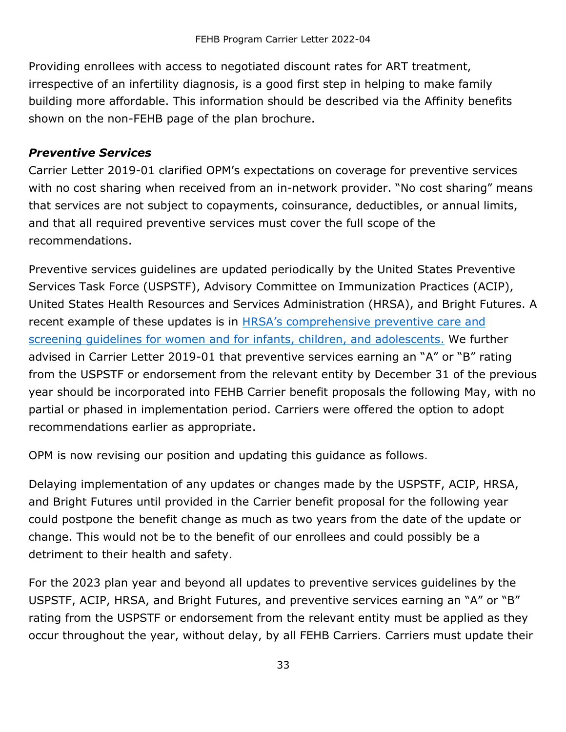Providing enrollees with access to negotiated discount rates for ART treatment, irrespective of an infertility diagnosis, is a good first step in helping to make family building more affordable. This information should be described via the Affinity benefits shown on the non-FEHB page of the plan brochure.

#### <span id="page-32-0"></span>*Preventive Services*

Carrier Letter 2019-01 clarified OPM's expectations on coverage for preventive services with no cost sharing when received from an in-network provider. "No cost sharing" means that services are not subject to copayments, coinsurance, deductibles, or annual limits, and that all required preventive services must cover the full scope of the recommendations.

Preventive services guidelines are updated periodically by the United States Preventive Services Task Force (USPSTF), Advisory Committee on Immunization Practices (ACIP), United States Health Resources and Services Administration (HRSA), and Bright Futures. A recent example of these updates is in [HRSA's comprehensive preventive care and](https://www.hhs.gov/about/news/2022/01/11/hrsa-updates-affordable-care-act-preventive-health-care-guidelines-improve-care-women-children.html)  [screening guidelines for women and for infants, children, and adolescents.](https://www.hhs.gov/about/news/2022/01/11/hrsa-updates-affordable-care-act-preventive-health-care-guidelines-improve-care-women-children.html) We further advised in Carrier Letter 2019-01 that preventive services earning an "A" or "B" rating from the USPSTF or endorsement from the relevant entity by December 31 of the previous year should be incorporated into FEHB Carrier benefit proposals the following May, with no partial or phased in implementation period. Carriers were offered the option to adopt recommendations earlier as appropriate.

OPM is now revising our position and updating this guidance as follows.

Delaying implementation of any updates or changes made by the USPSTF, ACIP, HRSA, and Bright Futures until provided in the Carrier benefit proposal for the following year could postpone the benefit change as much as two years from the date of the update or change. This would not be to the benefit of our enrollees and could possibly be a detriment to their health and safety.

For the 2023 plan year and beyond all updates to preventive services guidelines by the USPSTF, ACIP, HRSA, and Bright Futures, and preventive services earning an "A" or "B" rating from the USPSTF or endorsement from the relevant entity must be applied as they occur throughout the year, without delay, by all FEHB Carriers. Carriers must update their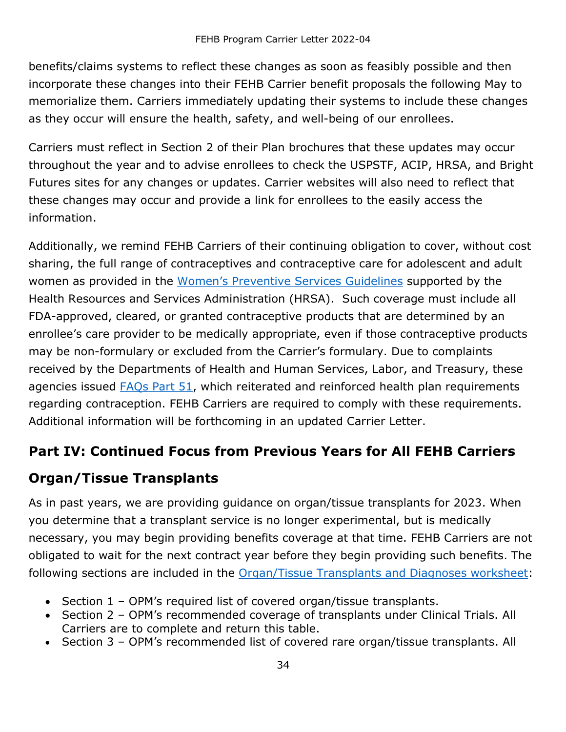benefits/claims systems to reflect these changes as soon as feasibly possible and then incorporate these changes into their FEHB Carrier benefit proposals the following May to memorialize them. Carriers immediately updating their systems to include these changes as they occur will ensure the health, safety, and well-being of our enrollees.

Carriers must reflect in Section 2 of their Plan brochures that these updates may occur throughout the year and to advise enrollees to check the USPSTF, ACIP, HRSA, and Bright Futures sites for any changes or updates. Carrier websites will also need to reflect that these changes may occur and provide a link for enrollees to the easily access the information.

Additionally, we remind FEHB Carriers of their continuing obligation to cover, without cost sharing, the full range of contraceptives and contraceptive care for adolescent and adult women as provided in the [Women's Preventive Services Guidelines](https://www.hrsa.gov/womens-guidelines/index.html) supported by the Health Resources and Services Administration (HRSA). Such coverage must include all FDA-approved, cleared, or granted contraceptive products that are determined by an enrollee's care provider to be medically appropriate, even if those contraceptive products may be non-formulary or excluded from the Carrier's formulary. Due to complaints received by the Departments of Health and Human Services, Labor, and Treasury, these agencies issued [FAQs Part 51,](https://www.dol.gov/sites/dolgov/files/EBSA/about-ebsa/our-activities/resource-center/faqs/aca-part-51.pdf?source=email) which reiterated and reinforced health plan requirements regarding contraception. FEHB Carriers are required to comply with these requirements. Additional information will be forthcoming in an updated Carrier Letter.

### <span id="page-33-0"></span>**Part IV: Continued Focus from Previous Years for All FEHB Carriers**

### <span id="page-33-1"></span>**Organ/Tissue Transplants**

As in past years, we are providing guidance on organ/tissue transplants for 2023. When you determine that a transplant service is no longer experimental, but is medically necessary, you may begin providing benefits coverage at that time. FEHB Carriers are not obligated to wait for the next contract year before they begin providing such benefits. The following sections are included in the [Organ/Tissue](#page-38-0) Transplants and Diagnoses worksheet:

- Section 1 OPM's required list of covered organ/tissue transplants.
- Section 2 OPM's recommended coverage of transplants under Clinical Trials. All Carriers are to complete and return this table.
- Section 3 OPM's recommended list of covered rare organ/tissue transplants. All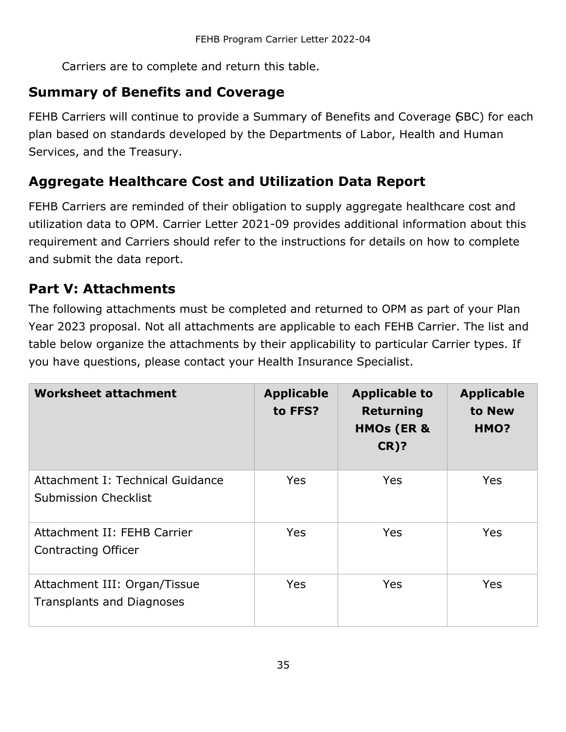Carriers are to complete and return this table.

### <span id="page-34-0"></span>**Summary of Benefits and Coverage**

FEHB Carriers will continue to provide a Summary of Benefits and Coverage (SBC) for each plan based on standards developed by the Departments of Labor, Health and Human Services, and the Treasury.

## <span id="page-34-1"></span>**Aggregate Healthcare Cost and Utilization Data Report**

FEHB Carriers are reminded of their obligation to supply aggregate healthcare cost and utilization data to OPM. Carrier Letter 2021-09 provides additional information about this requirement and Carriers should refer to the instructions for details on how to complete and submit the data report.

## <span id="page-34-2"></span>**Part V: Attachments**

The following attachments must be completed and returned to OPM as part of your Plan Year 2023 proposal. Not all attachments are applicable to each FEHB Carrier. The list and table below organize the attachments by their applicability to particular Carrier types. If you have questions, please contact your Health Insurance Specialist.

| <b>Worksheet attachment</b>                                      | <b>Applicable</b><br>to FFS? | <b>Applicable to</b><br><b>Returning</b><br><b>HMOs (ER &amp;</b><br><b>CR)?</b> | <b>Applicable</b><br>to New<br>HMO? |
|------------------------------------------------------------------|------------------------------|----------------------------------------------------------------------------------|-------------------------------------|
| Attachment I: Technical Guidance<br><b>Submission Checklist</b>  | <b>Yes</b>                   | <b>Yes</b>                                                                       | <b>Yes</b>                          |
| Attachment II: FEHB Carrier<br>Contracting Officer               | <b>Yes</b>                   | <b>Yes</b>                                                                       | <b>Yes</b>                          |
| Attachment III: Organ/Tissue<br><b>Transplants and Diagnoses</b> | <b>Yes</b>                   | <b>Yes</b>                                                                       | <b>Yes</b>                          |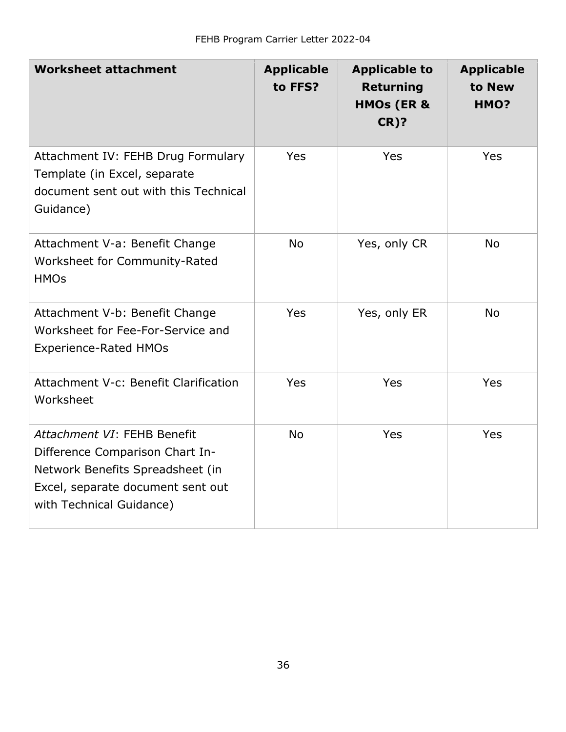| <b>Worksheet attachment</b>                                                                                                                                         | <b>Applicable</b><br>to FFS? | <b>Applicable to</b><br><b>Returning</b><br><b>HMOs (ER &amp;</b><br><b>CR)?</b> | <b>Applicable</b><br>to New<br>HMO? |
|---------------------------------------------------------------------------------------------------------------------------------------------------------------------|------------------------------|----------------------------------------------------------------------------------|-------------------------------------|
| Attachment IV: FEHB Drug Formulary<br>Template (in Excel, separate<br>document sent out with this Technical<br>Guidance)                                            | Yes                          | Yes                                                                              | <b>Yes</b>                          |
| Attachment V-a: Benefit Change<br>Worksheet for Community-Rated<br><b>HMOs</b>                                                                                      | <b>No</b>                    | Yes, only CR                                                                     | <b>No</b>                           |
| Attachment V-b: Benefit Change<br>Worksheet for Fee-For-Service and<br><b>Experience-Rated HMOs</b>                                                                 | Yes                          | Yes, only ER                                                                     | <b>No</b>                           |
| Attachment V-c: Benefit Clarification<br>Worksheet                                                                                                                  | Yes                          | Yes                                                                              | <b>Yes</b>                          |
| Attachment VI: FEHB Benefit<br>Difference Comparison Chart In-<br>Network Benefits Spreadsheet (in<br>Excel, separate document sent out<br>with Technical Guidance) | <b>No</b>                    | Yes                                                                              | Yes                                 |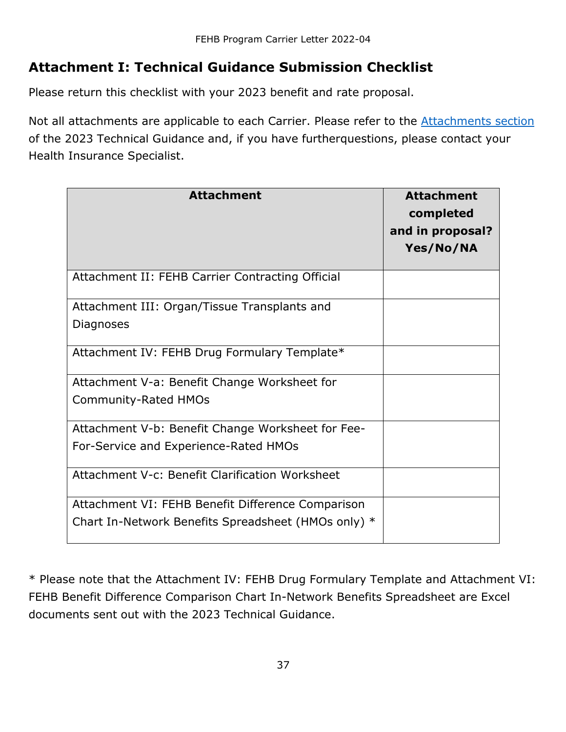## <span id="page-36-0"></span>**Attachment I: Technical Guidance Submission Checklist**

Please return this checklist with your 2023 benefit and rate proposal.

Not all attachments are applicable to each Carrier. Please refer to the **[Attachments](#page-34-2) section** of the 2023 Technical Guidance and, if you have furtherquestions, please contact your Health Insurance Specialist.

| <b>Attachment</b>                                   | <b>Attachment</b><br>completed<br>and in proposal?<br>Yes/No/NA |
|-----------------------------------------------------|-----------------------------------------------------------------|
| Attachment II: FEHB Carrier Contracting Official    |                                                                 |
| Attachment III: Organ/Tissue Transplants and        |                                                                 |
| Diagnoses                                           |                                                                 |
| Attachment IV: FEHB Drug Formulary Template*        |                                                                 |
| Attachment V-a: Benefit Change Worksheet for        |                                                                 |
| <b>Community-Rated HMOs</b>                         |                                                                 |
| Attachment V-b: Benefit Change Worksheet for Fee-   |                                                                 |
| For-Service and Experience-Rated HMOs               |                                                                 |
| Attachment V-c: Benefit Clarification Worksheet     |                                                                 |
| Attachment VI: FEHB Benefit Difference Comparison   |                                                                 |
| Chart In-Network Benefits Spreadsheet (HMOs only) * |                                                                 |

\* Please note that the Attachment IV: FEHB Drug Formulary Template and Attachment VI: FEHB Benefit Difference Comparison Chart In-Network Benefits Spreadsheet are Excel documents sent out with the 2023 Technical Guidance.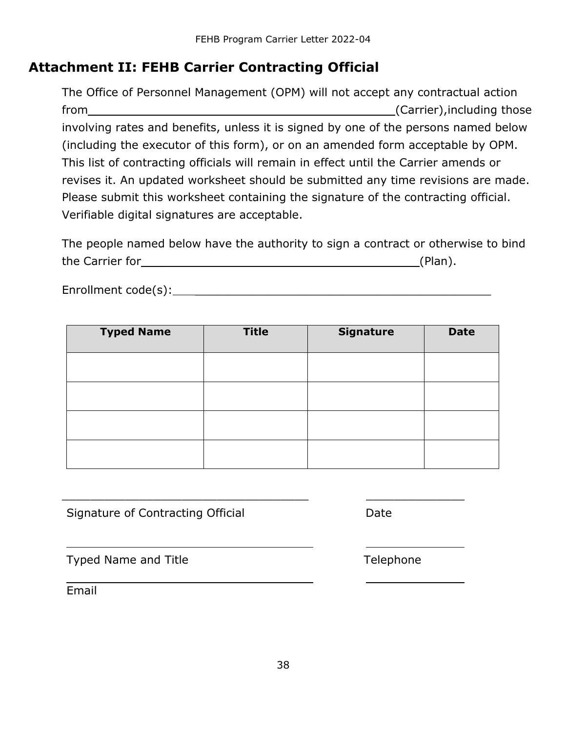### <span id="page-37-0"></span>**Attachment II: FEHB Carrier Contracting Official**

The Office of Personnel Management (OPM) will not accept any contractual action from example and the set of the set of the set of the set of the set of the set of the set of the set of the set of the set of the set of the set of the set of the set of the set of the set of the set of the set of the set involving rates and benefits, unless it is signed by one of the persons named below (including the executor of this form), or on an amended form acceptable by OPM. This list of contracting officials will remain in effect until the Carrier amends or revises it. An updated worksheet should be submitted any time revisions are made. Please submit this worksheet containing the signature of the contracting official. Verifiable digital signatures are acceptable.

| The people named below have the authority to sign a contract or otherwise to bind |  |  |         |  |
|-----------------------------------------------------------------------------------|--|--|---------|--|
| the Carrier for                                                                   |  |  | (Plan). |  |

Enrollment code(s): \_\_\_\_\_\_\_\_\_\_\_\_\_\_\_\_\_\_\_\_\_\_\_\_\_\_\_\_\_\_\_\_\_\_\_\_\_\_\_\_\_\_

| <b>Typed Name</b> | <b>Title</b> | <b>Signature</b> | <b>Date</b> |
|-------------------|--------------|------------------|-------------|
|                   |              |                  |             |
|                   |              |                  |             |
|                   |              |                  |             |
|                   |              |                  |             |

\_\_\_\_\_\_\_\_\_\_\_\_\_\_\_\_\_\_\_\_\_\_\_\_\_\_\_\_\_\_\_\_\_\_\_ \_\_\_\_\_\_\_\_\_\_\_\_\_\_

Signature of Contracting Official Date

Typed Name and Title Typed Name and Title

Email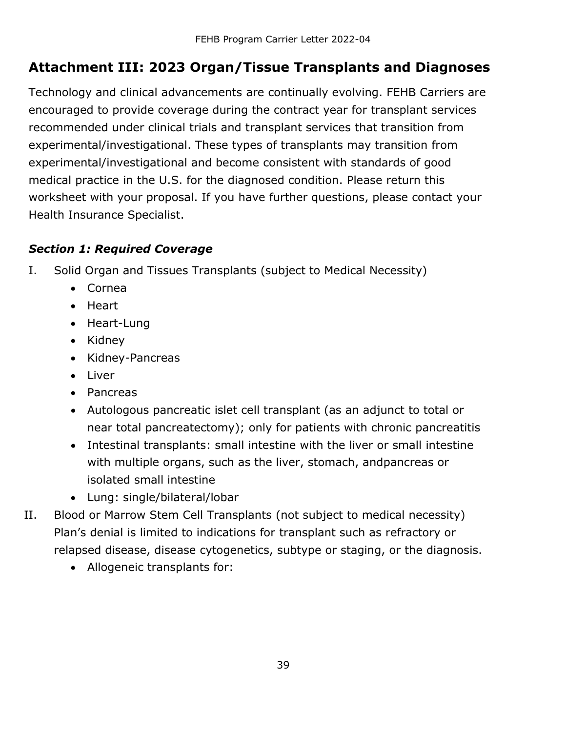## <span id="page-38-0"></span>**Attachment III: 2023 Organ/Tissue Transplants and Diagnoses**

Technology and clinical advancements are continually evolving. FEHB Carriers are encouraged to provide coverage during the contract year for transplant services recommended under clinical trials and transplant services that transition from experimental/investigational. These types of transplants may transition from experimental/investigational and become consistent with standards of good medical practice in the U.S. for the diagnosed condition. Please return this worksheet with your proposal. If you have further questions, please contact your Health Insurance Specialist.

#### <span id="page-38-1"></span>*Section 1: Required Coverage*

- I. Solid Organ and Tissues Transplants (subject to Medical Necessity)
	- Cornea
	- Heart
	- Heart-Lung
	- Kidney
	- Kidney-Pancreas
	- Liver
	- Pancreas
	- Autologous pancreatic islet cell transplant (as an adjunct to total or near total pancreatectomy); only for patients with chronic pancreatitis
	- Intestinal transplants: small intestine with the liver or small intestine with multiple organs, such as the liver, stomach, andpancreas or isolated small intestine
	- Lung: single/bilateral/lobar
- II. Blood or Marrow Stem Cell Transplants (not subject to medical necessity) Plan's denial is limited to indications for transplant such as refractory or relapsed disease, disease cytogenetics, subtype or staging, or the diagnosis.
	- Allogeneic transplants for: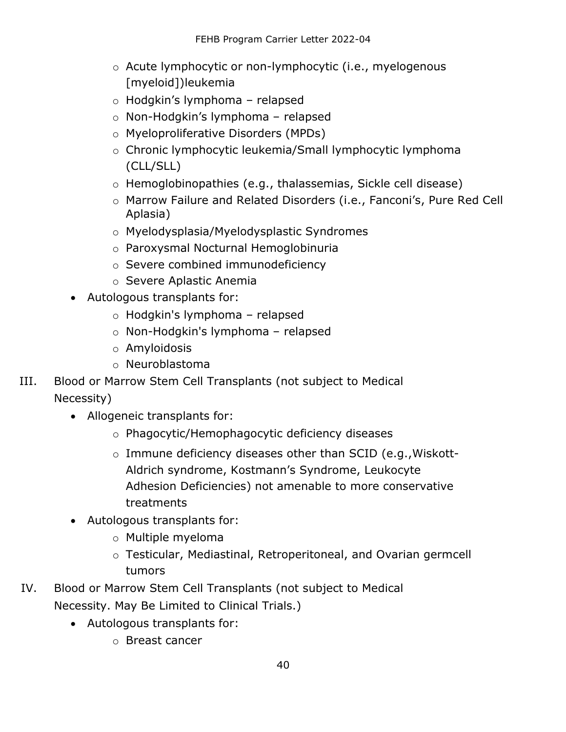- o Acute lymphocytic or non-lymphocytic (i.e., myelogenous [myeloid])leukemia
- o Hodgkin's lymphoma relapsed
- o Non-Hodgkin's lymphoma relapsed
- o Myeloproliferative Disorders (MPDs)
- o Chronic lymphocytic leukemia/Small lymphocytic lymphoma (CLL/SLL)
- o Hemoglobinopathies (e.g., thalassemias, Sickle cell disease)
- o Marrow Failure and Related Disorders (i.e., Fanconi's, Pure Red Cell Aplasia)
- o Myelodysplasia/Myelodysplastic Syndromes
- o Paroxysmal Nocturnal Hemoglobinuria
- o Severe combined immunodeficiency
- o Severe Aplastic Anemia
- Autologous transplants for:
	- o Hodgkin's lymphoma relapsed
	- o Non-Hodgkin's lymphoma relapsed
	- o Amyloidosis
	- o Neuroblastoma
- III. Blood or Marrow Stem Cell Transplants (not subject to Medical Necessity)
	- Allogeneic transplants for:
		- o Phagocytic/Hemophagocytic deficiency diseases
		- o Immune deficiency diseases other than SCID (e.g.,Wiskott-Aldrich syndrome, Kostmann's Syndrome, Leukocyte Adhesion Deficiencies) not amenable to more conservative treatments
	- Autologous transplants for:
		- o Multiple myeloma
		- o Testicular, Mediastinal, Retroperitoneal, and Ovarian germcell tumors
- IV. Blood or Marrow Stem Cell Transplants (not subject to Medical Necessity. May Be Limited to Clinical Trials.)
	- Autologous transplants for:
		- o Breast cancer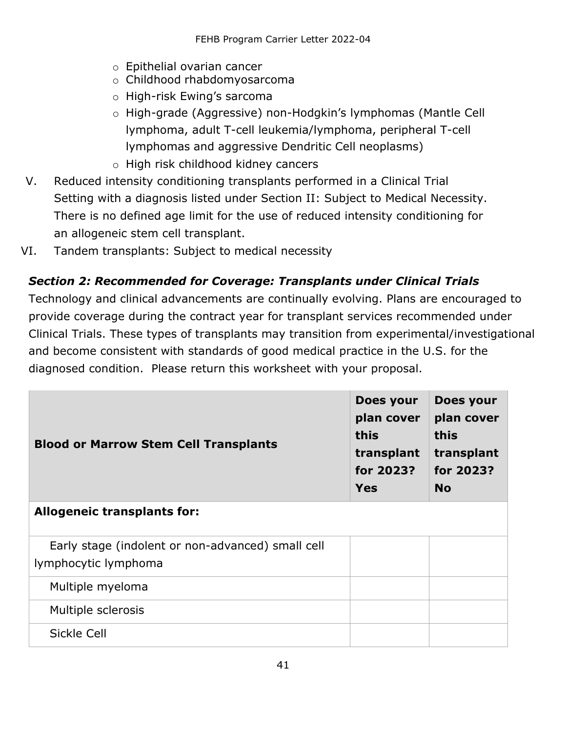- o Epithelial ovarian cancer
- o Childhood rhabdomyosarcoma
- o High-risk Ewing's sarcoma
- o High-grade (Aggressive) non-Hodgkin's lymphomas (Mantle Cell lymphoma, adult T-cell leukemia/lymphoma, peripheral T- cell lymphomas and aggressive Dendritic Cell neoplasms)
- o High risk childhood kidney cancers
- V. Reduced intensity conditioning transplants performed in a Clinical Trial Setting with a diagnosis listed under Section II: Subject to Medical Necessity. There is no defined age limit for the use of reduced intensity conditioning for an allogeneic stem cell transplant.
- <span id="page-40-0"></span>VI. Tandem transplants: Subject to medical necessity

### *Section 2: Recommended for Coverage: Transplants under Clinical Trials*

Technology and clinical advancements are continually evolving. Plans are encouraged to provide coverage during the contract year for transplant services recommended under Clinical Trials. These types of transplants may transition from experimental/investigational and become consistent with standards of good medical practice in the U.S. for the diagnosed condition. Please return this worksheet with your proposal.

| <b>Blood or Marrow Stem Cell Transplants</b>                              | Does your<br>plan cover<br>this<br>transplant<br>for 2023?<br>Yes | Does your<br>plan cover<br>this<br>transplant<br>for 2023?<br><b>No</b> |
|---------------------------------------------------------------------------|-------------------------------------------------------------------|-------------------------------------------------------------------------|
| <b>Allogeneic transplants for:</b>                                        |                                                                   |                                                                         |
| Early stage (indolent or non-advanced) small cell<br>lymphocytic lymphoma |                                                                   |                                                                         |
| Multiple myeloma                                                          |                                                                   |                                                                         |
| Multiple sclerosis                                                        |                                                                   |                                                                         |
| Sickle Cell                                                               |                                                                   |                                                                         |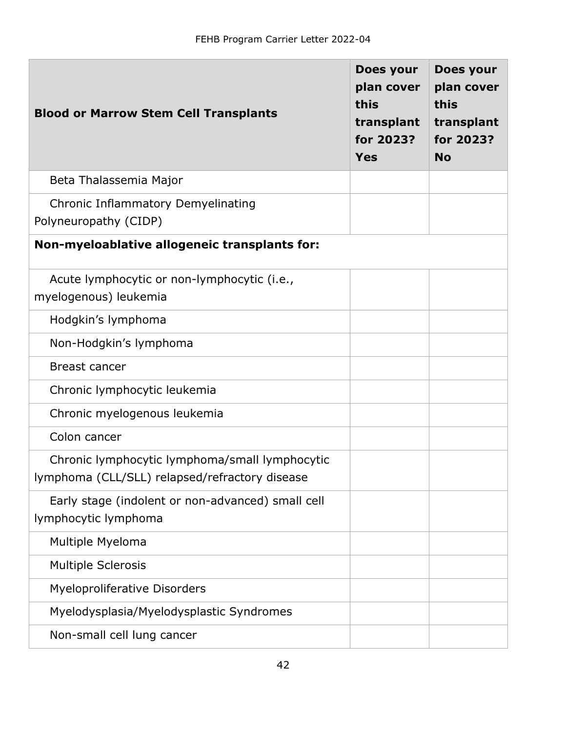| <b>Blood or Marrow Stem Cell Transplants</b>                                                     | Does your<br>plan cover<br>this<br>transplant<br>for 2023?<br><b>Yes</b> | Does your<br>plan cover<br>this<br>transplant<br>for 2023?<br><b>No</b> |
|--------------------------------------------------------------------------------------------------|--------------------------------------------------------------------------|-------------------------------------------------------------------------|
| Beta Thalassemia Major                                                                           |                                                                          |                                                                         |
| <b>Chronic Inflammatory Demyelinating</b><br>Polyneuropathy (CIDP)                               |                                                                          |                                                                         |
| Non-myeloablative allogeneic transplants for:                                                    |                                                                          |                                                                         |
| Acute lymphocytic or non-lymphocytic (i.e.,<br>myelogenous) leukemia                             |                                                                          |                                                                         |
| Hodgkin's lymphoma                                                                               |                                                                          |                                                                         |
| Non-Hodgkin's lymphoma                                                                           |                                                                          |                                                                         |
| <b>Breast cancer</b>                                                                             |                                                                          |                                                                         |
| Chronic lymphocytic leukemia                                                                     |                                                                          |                                                                         |
| Chronic myelogenous leukemia                                                                     |                                                                          |                                                                         |
| Colon cancer                                                                                     |                                                                          |                                                                         |
| Chronic lymphocytic lymphoma/small lymphocytic<br>lymphoma (CLL/SLL) relapsed/refractory disease |                                                                          |                                                                         |
| Early stage (indolent or non-advanced) small cell<br>lymphocytic lymphoma                        |                                                                          |                                                                         |
| Multiple Myeloma                                                                                 |                                                                          |                                                                         |
| <b>Multiple Sclerosis</b>                                                                        |                                                                          |                                                                         |
| <b>Myeloproliferative Disorders</b>                                                              |                                                                          |                                                                         |
| Myelodysplasia/Myelodysplastic Syndromes                                                         |                                                                          |                                                                         |
| Non-small cell lung cancer                                                                       |                                                                          |                                                                         |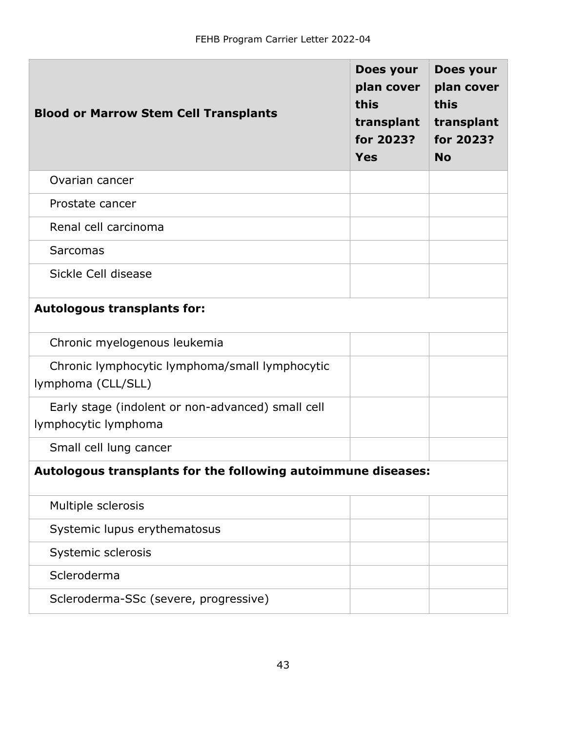| <b>Blood or Marrow Stem Cell Transplants</b>                              | Does your<br>plan cover<br>this<br>transplant<br>for 2023?<br><b>Yes</b> | Does your<br>plan cover<br>this<br>transplant<br>for 2023?<br><b>No</b> |
|---------------------------------------------------------------------------|--------------------------------------------------------------------------|-------------------------------------------------------------------------|
| Ovarian cancer                                                            |                                                                          |                                                                         |
| Prostate cancer                                                           |                                                                          |                                                                         |
| Renal cell carcinoma                                                      |                                                                          |                                                                         |
| Sarcomas                                                                  |                                                                          |                                                                         |
| Sickle Cell disease                                                       |                                                                          |                                                                         |
| <b>Autologous transplants for:</b>                                        |                                                                          |                                                                         |
| Chronic myelogenous leukemia                                              |                                                                          |                                                                         |
| Chronic lymphocytic lymphoma/small lymphocytic<br>lymphoma (CLL/SLL)      |                                                                          |                                                                         |
| Early stage (indolent or non-advanced) small cell<br>lymphocytic lymphoma |                                                                          |                                                                         |
| Small cell lung cancer                                                    |                                                                          |                                                                         |
| Autologous transplants for the following autoimmune diseases:             |                                                                          |                                                                         |
| Multiple sclerosis                                                        |                                                                          |                                                                         |
| Systemic lupus erythematosus                                              |                                                                          |                                                                         |
| Systemic sclerosis                                                        |                                                                          |                                                                         |
| Scleroderma                                                               |                                                                          |                                                                         |
| Scleroderma-SSc (severe, progressive)                                     |                                                                          |                                                                         |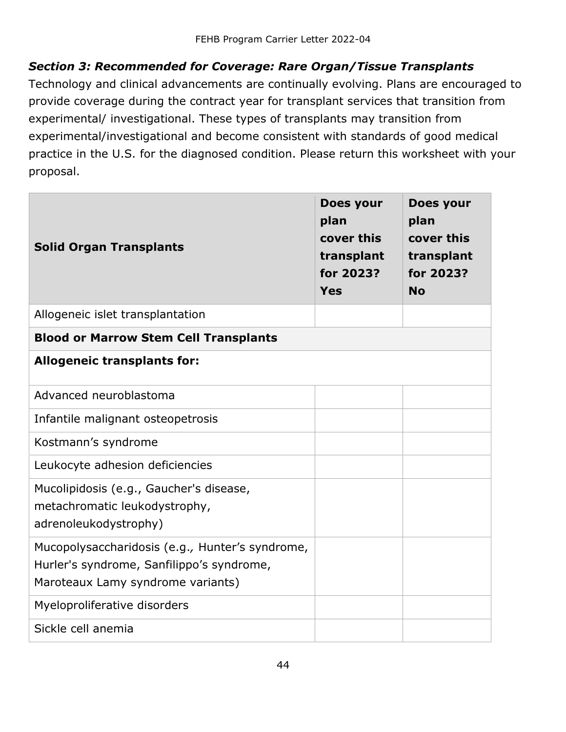#### <span id="page-43-0"></span>*Section 3: Recommended for Coverage: Rare Organ/Tissue Transplants*

Technology and clinical advancements are continually evolving. Plans are encouraged to provide coverage during the contract year for transplant services that transition from experimental/ investigational. These types of transplants may transition from experimental/investigational and become consistent with standards of good medical practice in the U.S. for the diagnosed condition. Please return this worksheet with your proposal.

| <b>Solid Organ Transplants</b>                                                                                                    | Does your<br>plan<br>cover this<br>transplant<br>for 2023?<br>Yes | Does your<br>plan<br>cover this<br>transplant<br>for 2023?<br><b>No</b> |
|-----------------------------------------------------------------------------------------------------------------------------------|-------------------------------------------------------------------|-------------------------------------------------------------------------|
| Allogeneic islet transplantation                                                                                                  |                                                                   |                                                                         |
| <b>Blood or Marrow Stem Cell Transplants</b>                                                                                      |                                                                   |                                                                         |
| <b>Allogeneic transplants for:</b>                                                                                                |                                                                   |                                                                         |
| Advanced neuroblastoma                                                                                                            |                                                                   |                                                                         |
| Infantile malignant osteopetrosis                                                                                                 |                                                                   |                                                                         |
| Kostmann's syndrome                                                                                                               |                                                                   |                                                                         |
| Leukocyte adhesion deficiencies                                                                                                   |                                                                   |                                                                         |
| Mucolipidosis (e.g., Gaucher's disease,<br>metachromatic leukodystrophy,<br>adrenoleukodystrophy)                                 |                                                                   |                                                                         |
| Mucopolysaccharidosis (e.g., Hunter's syndrome,<br>Hurler's syndrome, Sanfilippo's syndrome,<br>Maroteaux Lamy syndrome variants) |                                                                   |                                                                         |
| Myeloproliferative disorders                                                                                                      |                                                                   |                                                                         |
| Sickle cell anemia                                                                                                                |                                                                   |                                                                         |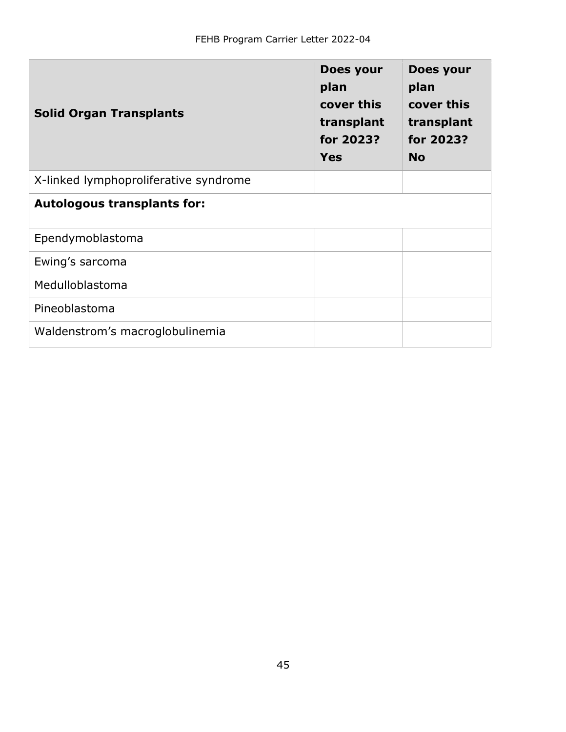| <b>Solid Organ Transplants</b>        | Does your<br>plan<br>cover this<br>transplant<br>for 2023?<br><b>Yes</b> | Does your<br>plan<br>cover this<br>transplant<br>for 2023?<br><b>No</b> |
|---------------------------------------|--------------------------------------------------------------------------|-------------------------------------------------------------------------|
| X-linked lymphoproliferative syndrome |                                                                          |                                                                         |
| <b>Autologous transplants for:</b>    |                                                                          |                                                                         |
| Ependymoblastoma                      |                                                                          |                                                                         |
| Ewing's sarcoma                       |                                                                          |                                                                         |
| Medulloblastoma                       |                                                                          |                                                                         |
| Pineoblastoma                         |                                                                          |                                                                         |
| Waldenstrom's macroglobulinemia       |                                                                          |                                                                         |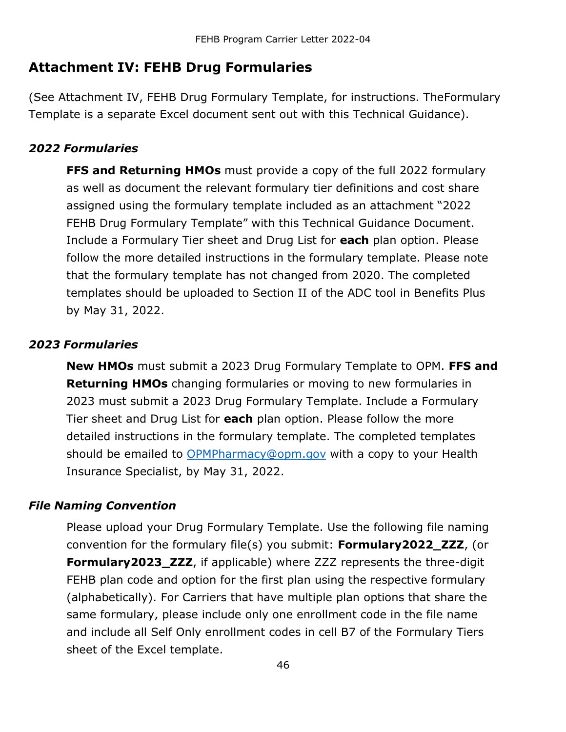### <span id="page-45-0"></span>**Attachment IV: FEHB Drug Formularies**

(See Attachment IV, FEHB Drug Formulary Template, for instructions. TheFormulary Template is a separate Excel document sent out with this Technical Guidance).

#### <span id="page-45-1"></span>*2022 Formularies*

**FFS and Returning HMOs** must provide a copy of the full 2022 formulary as well as document the relevant formulary tier definitions and cost share assigned using the formulary template included as an attachment "2022 FEHB Drug Formulary Template" with this Technical Guidance Document. Include a Formulary Tier sheet and Drug List for **each** plan option. Please follow the more detailed instructions in the formulary template. Please note that the formulary template has not changed from 2020. The completed templates should be uploaded to Section II of the ADC tool in Benefits Plus by May 31, 2022.

#### <span id="page-45-2"></span>*2023 Formularies*

**New HMOs** must submit a 2023 Drug Formulary Template to OPM. **FFS and Returning HMOs** changing formularies or moving to new formularies in 2023 must submit a 2023 Drug Formulary Template. Include a Formulary Tier sheet and Drug List for **each** plan option. Please follow the more detailed instructions in the formulary template. The completed templates should be emailed to [OPMPharmacy@opm.gov](mailto:OPMPharmacy@opm.gov) with a copy to your Health Insurance Specialist, by May 31, 2022.

#### <span id="page-45-3"></span>*File Naming Convention*

Please upload your Drug Formulary Template. Use the following file naming convention for the formulary file(s) you submit: **Formulary2022\_ZZZ**, (or **Formulary2023 ZZZ**, if applicable) where ZZZ represents the three-digit FEHB plan code and option for the first plan using the respective formulary (alphabetically). For Carriers that have multiple plan options that share the same formulary, please include only one enrollment code in the file name and include all Self Only enrollment codes in cell B7 of the Formulary Tiers sheet of the Excel template.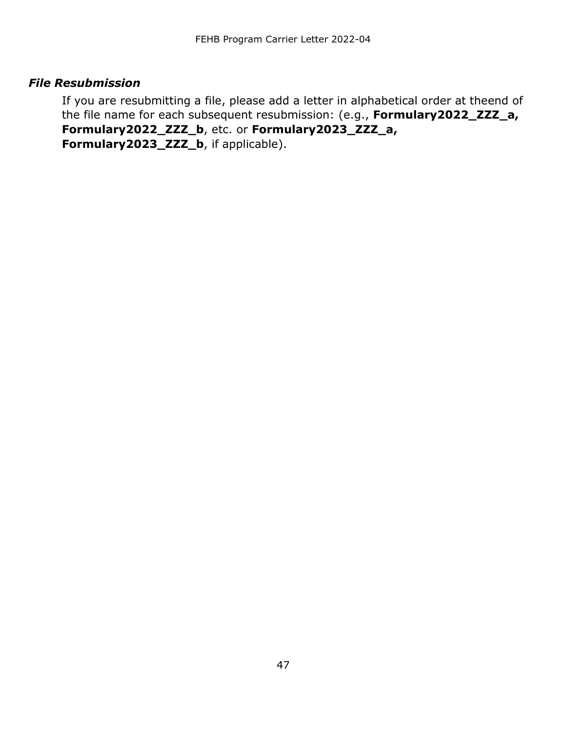#### <span id="page-46-0"></span>*File Resubmission*

If you are resubmitting a file, please add a letter in alphabetical order at theend of the file name for each subsequent resubmission: (e.g., **Formulary2022\_ZZZ\_a, Formulary2022\_ZZZ\_b**, etc. or **Formulary2023\_ZZZ\_a, Formulary2023\_ZZZ\_b**, if applicable).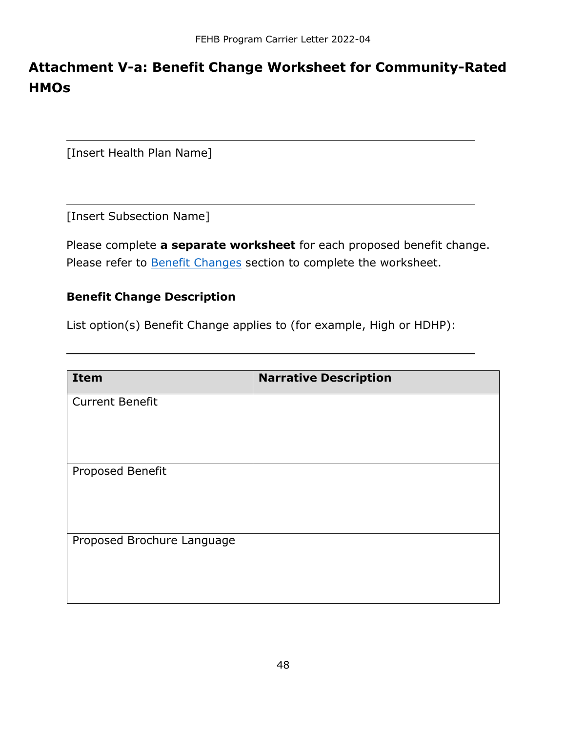# <span id="page-47-0"></span>**Attachment V-a: Benefit Change Worksheet for Community-Rated HMOs**

[Insert Health Plan Name]

[Insert Subsection Name]

Please complete **a separate worksheet** for each proposed benefit change. Please refer to **Benefit [Changes](#page-11-0)** section to complete the worksheet.

#### <span id="page-47-1"></span>**Benefit Change Description**

List option(s) Benefit Change applies to (for example, High or HDHP):

| <b>Item</b>                | <b>Narrative Description</b> |
|----------------------------|------------------------------|
| <b>Current Benefit</b>     |                              |
| Proposed Benefit           |                              |
| Proposed Brochure Language |                              |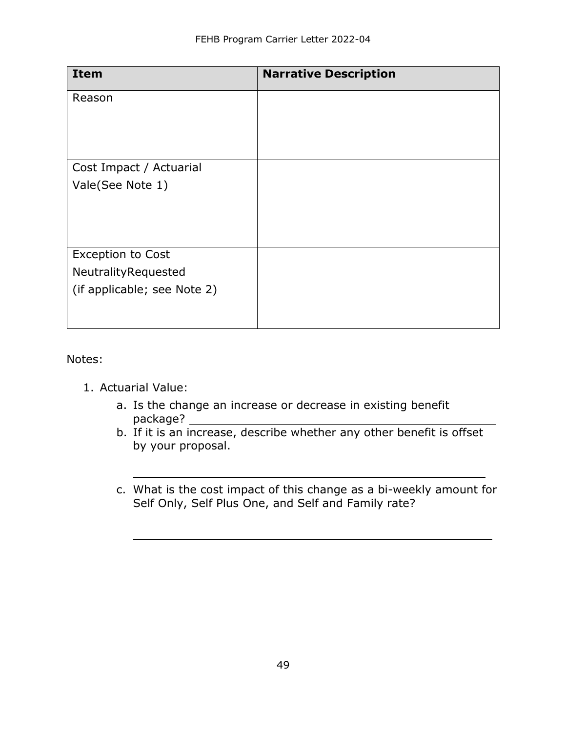| <b>Narrative Description</b> |
|------------------------------|
|                              |
|                              |
|                              |
|                              |
|                              |
|                              |
|                              |
|                              |
|                              |
|                              |
|                              |
|                              |
|                              |

Notes:

- 1. Actuarial Value:
	- a. Is the change an increase or decrease in existing benefit package? \_
	- b. If it is an increase, describe whether any other benefit is offset by your proposal.
	- c. What is the cost impact of this change as a bi-weekly amount for Self Only, Self Plus One, and Self and Family rate?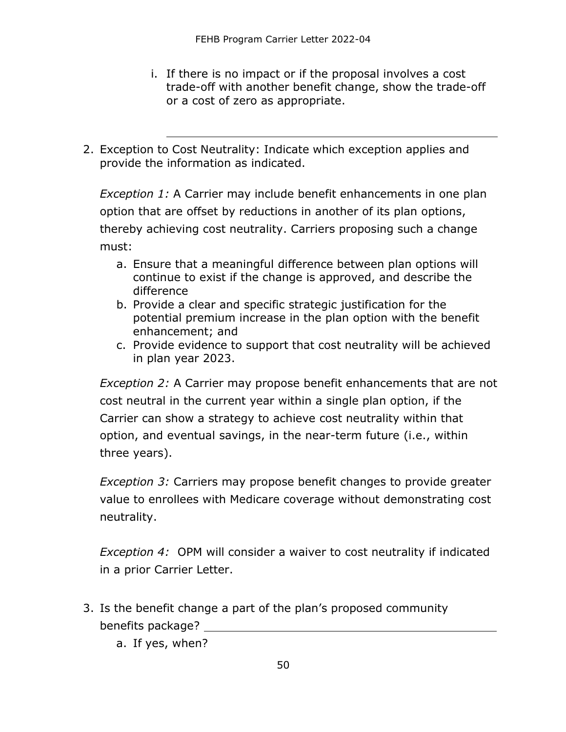- i. If there is no impact or if the proposal involves a cost trade-off with another benefit change, show the trade-off or a cost of zero as appropriate.
- 2. Exception to Cost Neutrality: Indicate which exception applies and provide the information as indicated.

*Exception 1:* A Carrier may include benefit enhancements in one plan option that are offset by reductions in another of its plan options, thereby achieving cost neutrality. Carriers proposing such a change must:

- a. Ensure that a meaningful difference between plan options will continue to exist if the change is approved, and describe the difference
- b. Provide a clear and specific strategic justification for the potential premium increase in the plan option with the benefit enhancement; and
- c. Provide evidence to support that cost neutrality will be achieved in plan year 2023.

*Exception 2:* A Carrier may propose benefit enhancements that are not cost neutral in the current year within a single plan option, if the Carrier can show a strategy to achieve cost neutrality within that option, and eventual savings, in the near-term future (i.e., within three years).

*Exception 3:* Carriers may propose benefit changes to provide greater value to enrollees with Medicare coverage without demonstrating cost neutrality.

*Exception 4:* OPM will consider a waiver to cost neutrality if indicated in a prior Carrier Letter.

- 3. Is the benefit change a part of the plan's proposed community benefits package?
	- a. If yes, when?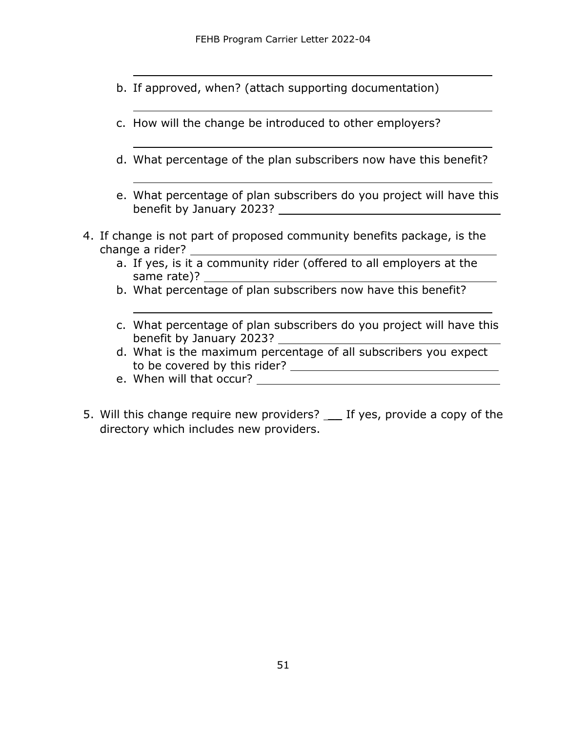- b. If approved, when? (attach supporting documentation)
- c. How will the change be introduced to other employers?
- d. What percentage of the plan subscribers now have this benefit?
- e. What percentage of plan subscribers do you project will have this benefit by January 2023?
- 4. If change is not part of proposed community benefits package, is the change a rider?
	- a. If yes, is it a community rider (offered to all employers at the same rate)?
	- b. What percentage of plan subscribers now have this benefit?
	- c. What percentage of plan subscribers do you project will have this benefit by January 2023?
	- d. What is the maximum percentage of all subscribers you expect to be covered by this rider?
	- e. When will that occur?
- 5. Will this change require new providers? \_\_ If yes, provide a copy of the directory which includes new providers.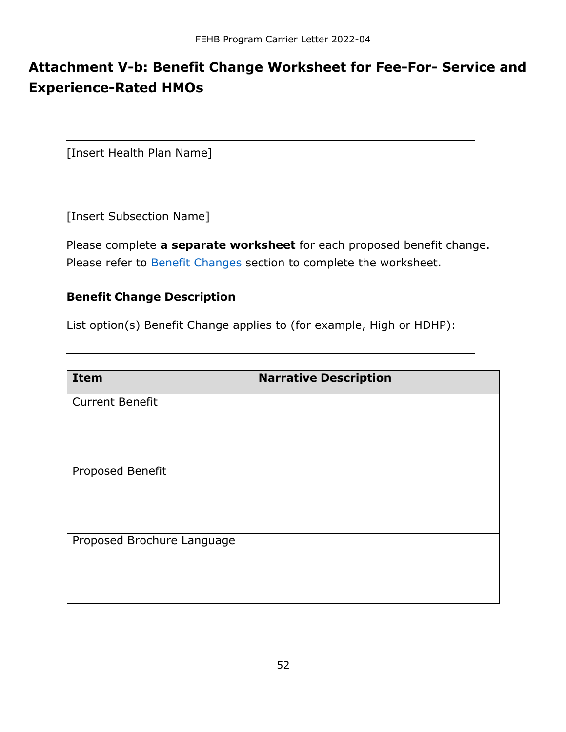# <span id="page-51-0"></span>**Attachment V-b: Benefit Change Worksheet for Fee-For- Service and Experience-Rated HMOs**

[Insert Health Plan Name]

[Insert Subsection Name]

Please complete **a separate worksheet** for each proposed benefit change. Please refer to **Benefit [Changes](#page-11-0)** section to complete the worksheet.

#### <span id="page-51-1"></span>**Benefit Change Description**

List option(s) Benefit Change applies to (for example, High or HDHP):

| <b>Item</b>                | <b>Narrative Description</b> |
|----------------------------|------------------------------|
| <b>Current Benefit</b>     |                              |
| Proposed Benefit           |                              |
| Proposed Brochure Language |                              |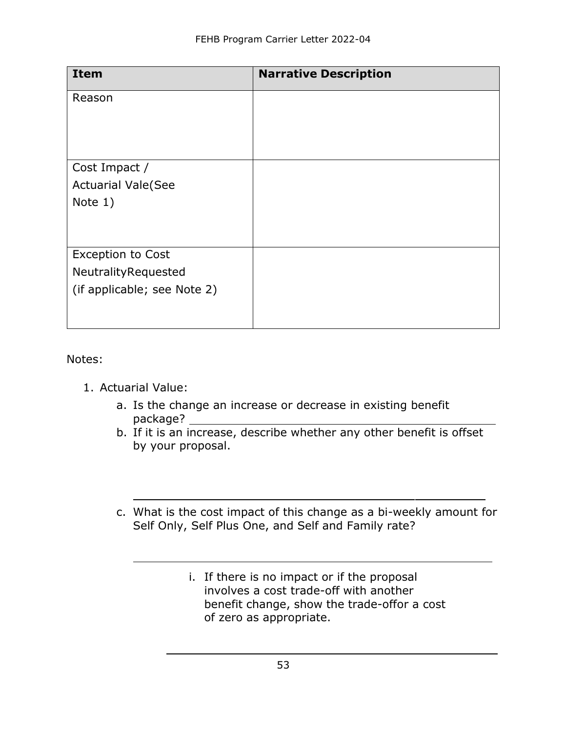| <b>Item</b>                 | <b>Narrative Description</b> |
|-----------------------------|------------------------------|
| Reason                      |                              |
|                             |                              |
|                             |                              |
| Cost Impact /               |                              |
| <b>Actuarial Vale(See</b>   |                              |
| Note 1)                     |                              |
|                             |                              |
|                             |                              |
| <b>Exception to Cost</b>    |                              |
| NeutralityRequested         |                              |
| (if applicable; see Note 2) |                              |
|                             |                              |
|                             |                              |

Notes:

- 1. Actuarial Value:
	- a. Is the change an increase or decrease in existing benefit package? \_\_
	- b. If it is an increase, describe whether any other benefit is offset by your proposal.
	- c. What is the cost impact of this change as a bi-weekly amount for Self Only, Self Plus One, and Self and Family rate?
		- i. If there is no impact or if the proposal involves a cost trade-off with another benefit change, show the trade-offor a cost of zero as appropriate.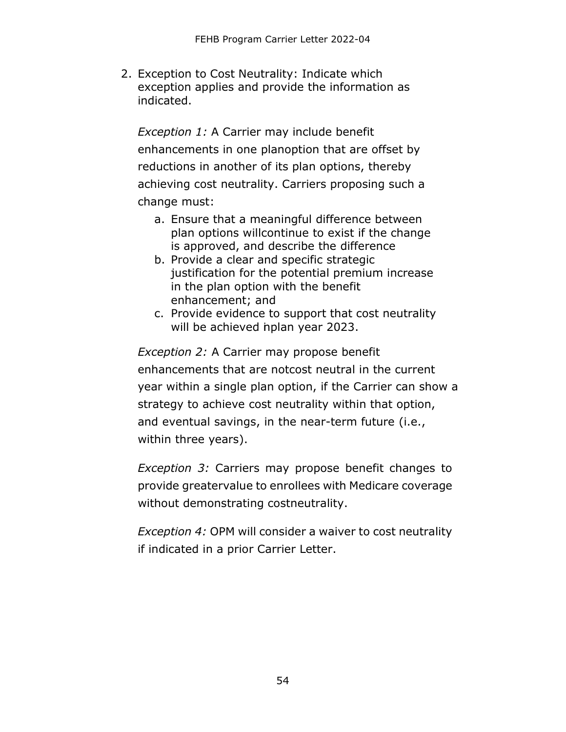2. Exception to Cost Neutrality: Indicate which exception applies and provide the information as indicated.

*Exception 1:* A Carrier may include benefit enhancements in one planoption that are offset by reductions in another of its plan options, thereby achieving cost neutrality. Carriers proposing such a change must:

- a. Ensure that a meaningful difference between plan options willcontinue to exist if the change is approved, and describe the difference
- b. Provide a clear and specific strategic justification for the potential premium increase in the plan option with the benefit enhancement; and
- c. Provide evidence to support that cost neutrality will be achieved nplan year 2023.

*Exception 2:* A Carrier may propose benefit enhancements that are notcost neutral in the current year within a single plan option, if the Carrier can show a strategy to achieve cost neutrality within that option, and eventual savings, in the near-term future (i.e., within three years).

*Exception 3:* Carriers may propose benefit changes to provide greatervalue to enrollees with Medicare coverage without demonstrating costneutrality.

*Exception 4:* OPM will consider a waiver to cost neutrality if indicated in a prior Carrier Letter.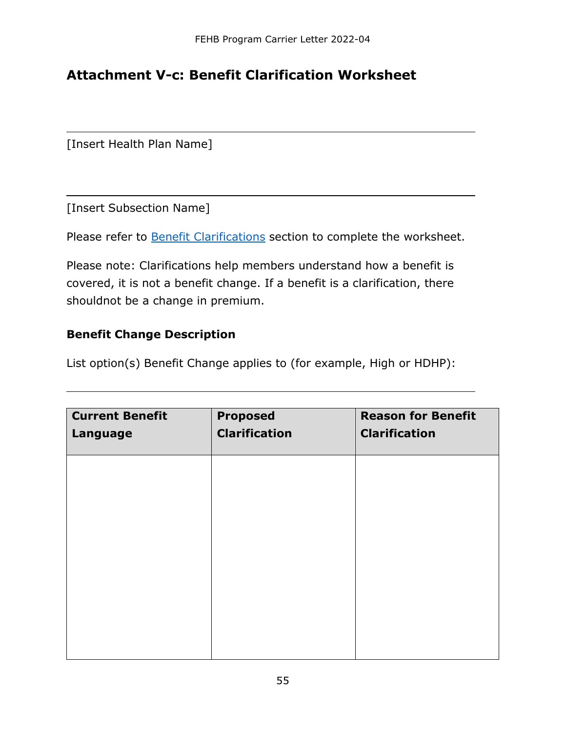### <span id="page-54-0"></span>**Attachment V-c: Benefit Clarification Worksheet**

[Insert Health Plan Name]

[Insert Subsection Name]

Please refer to Benefit [Clarifications](#page-12-0) section to complete the worksheet.

Please note: Clarifications help members understand how a benefit is covered, it is not a benefit change. If a benefit is a clarification, there shouldnot be a change in premium.

#### <span id="page-54-1"></span>**Benefit Change Description**

List option(s) Benefit Change applies to (for example, High or HDHP):

| <b>Current Benefit</b><br>Language | <b>Proposed</b><br><b>Clarification</b> | <b>Reason for Benefit</b><br><b>Clarification</b> |
|------------------------------------|-----------------------------------------|---------------------------------------------------|
|                                    |                                         |                                                   |
|                                    |                                         |                                                   |
|                                    |                                         |                                                   |
|                                    |                                         |                                                   |
|                                    |                                         |                                                   |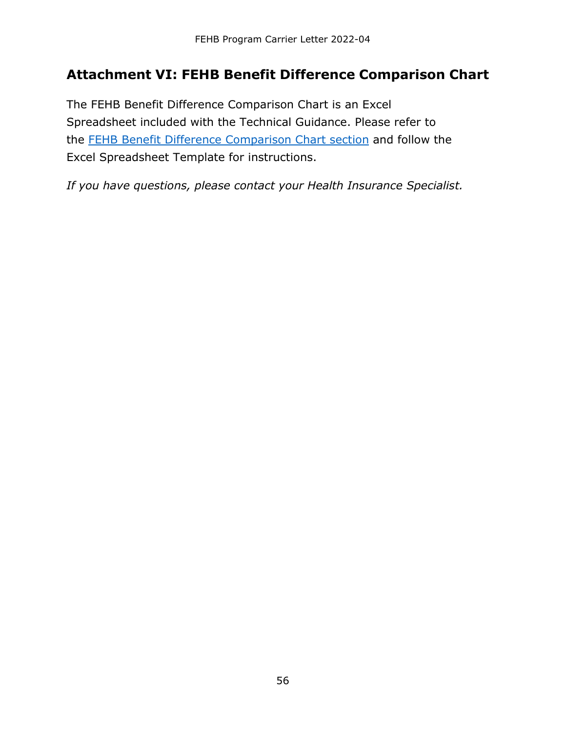### <span id="page-55-0"></span>**Attachment VI: FEHB Benefit Difference Comparison Chart**

The FEHB Benefit Difference Comparison Chart is an Excel Spreadsheet included with the Technical Guidance. Please refer to the [FEHB Benefit Difference Comparison Chart section](#page-13-1) and follow the Excel Spreadsheet Template for instructions.

*If you have questions, please contact your Health Insurance Specialist.*